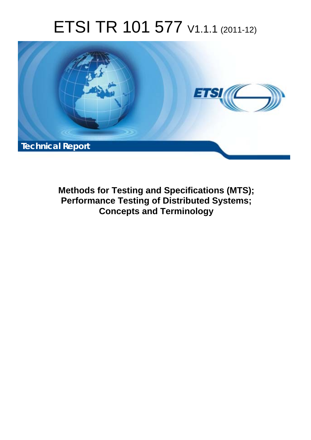# ETSI TR 101 577 V1.1.1 (2011-12)



**Methods for Testing and Specifications (MTS); Performance Testing of Distributed Systems; Concepts and Terminology**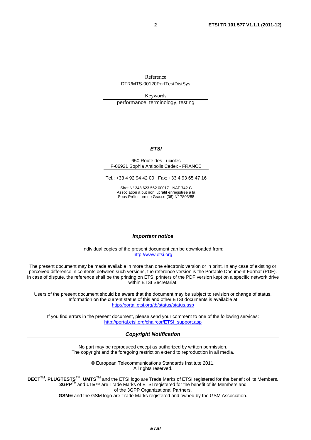Reference DTR/MTS-00120PerfTestDistSys

Keywords performance, terminology, testing

### *ETSI*

#### 650 Route des Lucioles F-06921 Sophia Antipolis Cedex - FRANCE

Tel.: +33 4 92 94 42 00 Fax: +33 4 93 65 47 16

Siret N° 348 623 562 00017 - NAF 742 C Association à but non lucratif enregistrée à la Sous-Préfecture de Grasse (06) N° 7803/88

#### *Important notice*

Individual copies of the present document can be downloaded from: [http://www.etsi.org](http://www.etsi.org/)

The present document may be made available in more than one electronic version or in print. In any case of existing or perceived difference in contents between such versions, the reference version is the Portable Document Format (PDF). In case of dispute, the reference shall be the printing on ETSI printers of the PDF version kept on a specific network drive within ETSI Secretariat.

Users of the present document should be aware that the document may be subject to revision or change of status. Information on the current status of this and other ETSI documents is available at <http://portal.etsi.org/tb/status/status.asp>

If you find errors in the present document, please send your comment to one of the following services: [http://portal.etsi.org/chaircor/ETSI\\_support.asp](http://portal.etsi.org/chaircor/ETSI_support.asp)

### *Copyright Notification*

No part may be reproduced except as authorized by written permission. The copyright and the foregoing restriction extend to reproduction in all media.

> © European Telecommunications Standards Institute 2011. All rights reserved.

DECT<sup>™</sup>, PLUGTESTS<sup>™</sup>, UMTS<sup>™</sup> and the ETSI logo are Trade Marks of ETSI registered for the benefit of its Members. **3GPP**TM and **LTE**™ are Trade Marks of ETSI registered for the benefit of its Members and of the 3GPP Organizational Partners.

**GSM**® and the GSM logo are Trade Marks registered and owned by the GSM Association.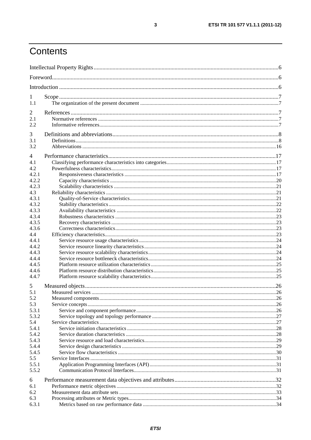## Contents

| 1              |  |  |
|----------------|--|--|
| 1.1            |  |  |
| 2              |  |  |
| 2.1            |  |  |
| 2.2            |  |  |
| 3              |  |  |
| 3.1            |  |  |
| 3.2            |  |  |
| 4              |  |  |
| 4.1            |  |  |
| 4.2            |  |  |
| 4.2.1          |  |  |
| 4.2.2          |  |  |
| 4.2.3          |  |  |
| 4.3            |  |  |
| 4.3.1          |  |  |
| 4.3.2          |  |  |
| 4.3.3          |  |  |
| 4.3.4<br>4.3.5 |  |  |
| 4.3.6          |  |  |
| 4.4            |  |  |
| 4.4.1          |  |  |
| 4.4.2          |  |  |
| 4.4.3          |  |  |
| 4.4.4          |  |  |
| 4.4.5          |  |  |
| 4.4.6          |  |  |
| 4.4.7          |  |  |
| 5              |  |  |
| 5.1            |  |  |
| 5.2            |  |  |
| 5.3            |  |  |
| 5.3.1<br>5.3.2 |  |  |
| 5.4            |  |  |
| 5.4.1          |  |  |
| 5.4.2          |  |  |
| 5.4.3          |  |  |
| 5.4.4          |  |  |
| 5.4.5          |  |  |
| 5.5            |  |  |
| 5.5.1          |  |  |
| 5.5.2          |  |  |
| 6              |  |  |
| 6.1            |  |  |
| 6.2            |  |  |
| 6.3<br>6.3.1   |  |  |
|                |  |  |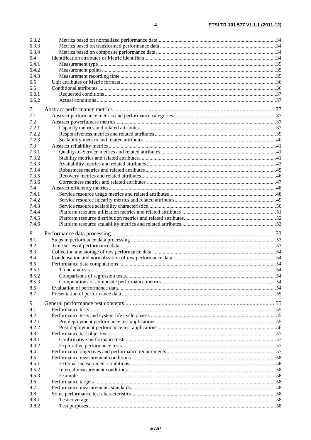| 6.3.2          |  |  |  |  |
|----------------|--|--|--|--|
| 6.3.3          |  |  |  |  |
| 6.3.4          |  |  |  |  |
| 6.4            |  |  |  |  |
| 6.4.1          |  |  |  |  |
| 6.4.2          |  |  |  |  |
| 6.4.3          |  |  |  |  |
| 6.5            |  |  |  |  |
| 6.6            |  |  |  |  |
| 6.6.1          |  |  |  |  |
| 6.6.2          |  |  |  |  |
| 7              |  |  |  |  |
| 7.1            |  |  |  |  |
| 7.2            |  |  |  |  |
| 7.2.1          |  |  |  |  |
| 7.2.2          |  |  |  |  |
| 7.2.3          |  |  |  |  |
| 7.3            |  |  |  |  |
| 7.3.1          |  |  |  |  |
| 7.3.2          |  |  |  |  |
| 7.3.3          |  |  |  |  |
| 7.3.4          |  |  |  |  |
| 7.3.5          |  |  |  |  |
| 7.3.6          |  |  |  |  |
| 7.4            |  |  |  |  |
| 7.4.1          |  |  |  |  |
| 7.4.2          |  |  |  |  |
| 7.4.3          |  |  |  |  |
| 7.4.4          |  |  |  |  |
| 7.4.5          |  |  |  |  |
|                |  |  |  |  |
| 7.4.6          |  |  |  |  |
|                |  |  |  |  |
| 8<br>8.1       |  |  |  |  |
| 8.2            |  |  |  |  |
| 8.3            |  |  |  |  |
| 8.4            |  |  |  |  |
| 8.5            |  |  |  |  |
| 8.5.1          |  |  |  |  |
| 8.5.2          |  |  |  |  |
| 8.5.3          |  |  |  |  |
| 8.6            |  |  |  |  |
| 8.7            |  |  |  |  |
|                |  |  |  |  |
| 9              |  |  |  |  |
| 9.1            |  |  |  |  |
| 9.2            |  |  |  |  |
| 9.2.1          |  |  |  |  |
| 9.2.2          |  |  |  |  |
| 9.3<br>9.3.1   |  |  |  |  |
| 9.3.2          |  |  |  |  |
| 9.4            |  |  |  |  |
| 9.5            |  |  |  |  |
| 9.5.1          |  |  |  |  |
| 9.5.2          |  |  |  |  |
| 9.5.3          |  |  |  |  |
| 9.6            |  |  |  |  |
| 9.7            |  |  |  |  |
| 9.8            |  |  |  |  |
| 9.8.1<br>9.8.2 |  |  |  |  |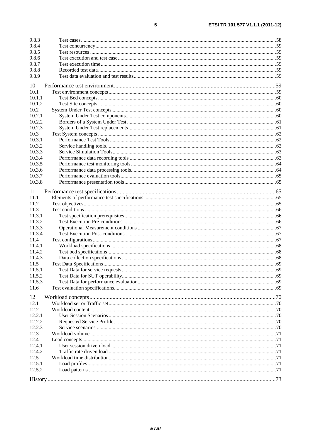| 9.8.3            |                                |      |
|------------------|--------------------------------|------|
| 9.8.4            |                                |      |
| 9.8.5            |                                |      |
| 9.8.6            |                                |      |
| 9.8.7            |                                |      |
| 9.8.8            |                                |      |
| 9.8.9            |                                |      |
| 10               |                                |      |
| 10.1             |                                |      |
| 10.1.1           |                                |      |
| 10.1.2           |                                |      |
| 10.2             |                                |      |
| 10.2.1           |                                |      |
| 10.2.2           |                                |      |
| 10.2.3           |                                |      |
| 10.3             |                                |      |
| 10.3.1           |                                |      |
| 10.3.2           |                                |      |
| 10.3.3           |                                |      |
| 10.3.4           |                                |      |
| 10.3.5           |                                |      |
| 10.3.6           |                                |      |
| 10.3.7           |                                |      |
| 10.3.8           |                                |      |
|                  |                                |      |
| 11               |                                |      |
| 11.1             |                                |      |
| 11.2             |                                |      |
| 11.3             |                                |      |
| 11.3.1           |                                |      |
| 11.3.2           |                                |      |
| 11.3.3           |                                |      |
| 11.3.4           |                                |      |
| 11.4             |                                |      |
| 11.4.1           |                                |      |
| 11.4.2           |                                |      |
| 11.4.3<br>11.5   |                                |      |
| 11.5.1           |                                |      |
|                  | Test Data for service requests | . 69 |
| 11.5.2<br>11.5.3 |                                |      |
|                  |                                |      |
| 11.6             |                                |      |
| 12               |                                |      |
| 12.1             |                                |      |
| 12.2             |                                |      |
| 12.2.1           |                                |      |
| 12.2.2           |                                |      |
| 12.2.3           |                                |      |
| 12.3             |                                |      |
| 12.4             |                                |      |
| 12.4.1           |                                |      |
| 12.4.2           |                                |      |
| 12.5             |                                |      |
| 12.5.1           |                                |      |
| 12.5.2           |                                |      |
|                  |                                |      |

 $\overline{\mathbf{5}}$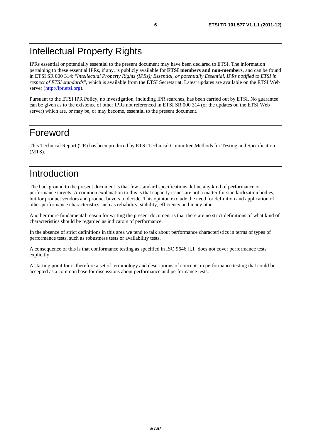## Intellectual Property Rights

IPRs essential or potentially essential to the present document may have been declared to ETSI. The information pertaining to these essential IPRs, if any, is publicly available for **ETSI members and non-members**, and can be found in ETSI SR 000 314: *"Intellectual Property Rights (IPRs); Essential, or potentially Essential, IPRs notified to ETSI in respect of ETSI standards"*, which is available from the ETSI Secretariat. Latest updates are available on the ETSI Web server ([http://ipr.etsi.org\)](http://webapp.etsi.org/IPR/home.asp).

Pursuant to the ETSI IPR Policy, no investigation, including IPR searches, has been carried out by ETSI. No guarantee can be given as to the existence of other IPRs not referenced in ETSI SR 000 314 (or the updates on the ETSI Web server) which are, or may be, or may become, essential to the present document.

## Foreword

This Technical Report (TR) has been produced by ETSI Technical Committee Methods for Testing and Specification (MTS).

## Introduction

The background to the present document is that few standard specifications define any kind of performance or performance targets. A common explanation to this is that capacity issues are not a matter for standardization bodies, but for product vendors and product buyers to decide. This opinion exclude the need for definition and application of other performance characteristics such as reliability, stability, efficiency and many other.

Another more fundamental reason for writing the present document is that there are no strict definitions of what kind of characteristics should be regarded as indicators of performance.

In the absence of strict definitions in this area we tend to talk about performance characteristics in terms of types of performance tests, such as robustness tests or availability tests.

A consequence of this is that conformance testing as specified in ISO 9646 [i.1] does not cover performance tests explicitly.

A starting point for is therefore a set of terminology and descriptions of concepts in performance testing that could be accepted as a common base for discussions about performance and performance tests.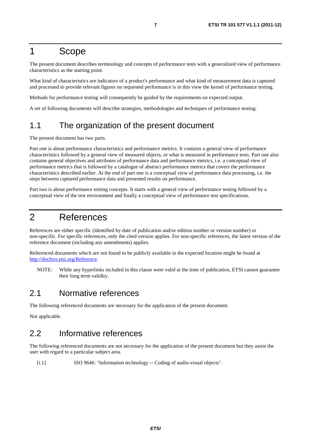## 1 Scope

The present document describes terminology and concepts of performance tests with a generalized view of performance characteristics as the starting point.

What kind of characteristics are indicators of a product's performance and what kind of measurement data is captured and processed to provide relevant figures on requested performance is in this view the kernel of performance testing.

Methods for performance testing will consequently be guided by the requirements on expected output.

A set of following documents will describe strategies, methodologies and techniques of performance testing.

## 1.1 The organization of the present document

The present document has two parts.

Part one is about performance characteristics and performance metrics. It contains a general view of performance characteristics followed by a general view of measured objects, or what is measured in performance tests. Part one also contains general objectives and attributes of performance data and performance metrics, i.e. a conceptual view of performance metrics that is followed by a catalogue of abstract performance metrics that covers the performance characteristics described earlier. At the end of part one is a conceptual view of performance data processing, i.e. the steps between captured performance data and presented results on performance.

Part two is about performance testing concepts. It starts with a general view of performance testing followed by a conceptual view of the test environment and finally a conceptual view of performance test specifications.

## 2 References

References are either specific (identified by date of publication and/or edition number or version number) or non-specific. For specific references, only the cited version applies. For non-specific references, the latest version of the reference document (including any amendments) applies.

Referenced documents which are not found to be publicly available in the expected location might be found at [http://docbox.etsi.org/Reference.](http://docbox.etsi.org/Reference)

NOTE: While any hyperlinks included in this clause were valid at the time of publication, ETSI cannot guarantee their long term validity.

## 2.1 Normative references

The following referenced documents are necessary for the application of the present document.

Not applicable.

## 2.2 Informative references

The following referenced documents are not necessary for the application of the present document but they assist the user with regard to a particular subject area.

[i.1] ISO 9646: "Information technology -- Coding of audio-visual objects".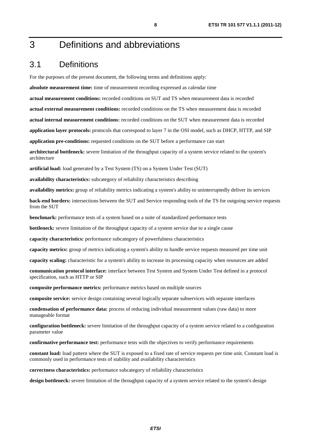## 3 Definitions and abbreviations

## 3.1 Definitions

For the purposes of the present document, the following terms and definitions apply:

**absolute measurement time:** time of measurement recording expressed as calendar time

**actual measurement conditions:** recorded conditions on SUT and TS when measurement data is recorded

**actual external measurement conditions:** recorded conditions on the TS when measurement data is recorded

**actual internal measurement conditions:** recorded conditions on the SUT when measurement data is recorded

**application layer protocols:** protocols that correspond to layer 7 in the OSI model, such as DHCP, HTTP, and SIP

**application pre-conditions:** requested conditions on the SUT before a performance can start

**architectural bottleneck:** severe limitation of the throughput capacity of a system service related to the system's architecture

**artificial load:** load generated by a Test System (TS) on a System Under Test (SUT)

**availability characteristics:** subcategory of reliability characteristics describing

**availability metrics:** group of reliability metrics indicating a system's ability to uninterruptedly deliver its services

**back-end borders:** intersections between the SUT and Service responding tools of the TS for outgoing service requests from the SUT

**benchmark:** performance tests of a system based on a suite of standardized performance tests

**bottleneck:** severe limitation of the throughput capacity of a system service due to a single cause

**capacity characteristics:** performance subcategory of powerfulness characteristics

**capacity metrics:** group of metrics indicating a system's ability to handle service requests measured per time unit

**capacity scaling:** characteristic for a system's ability to increase its processing capacity when resources are added

**communication protocol interface:** interface between Test System and System Under Test defined in a protocol specification, such as HTTP or SIP

**composite performance metrics:** performance metrics based on multiple sources

**composite service:** service design containing several logically separate subservices with separate interfaces

**condensation of performance data:** process of reducing individual measurement values (raw data) to more manageable format

**configuration bottleneck:** severe limitation of the throughput capacity of a system service related to a configuration parameter value

**confirmative performance test:** performance tests with the objectives to verify performance requirements

**constant load:** load pattern where the SUT is exposed to a fixed rate of service requests per time unit. Constant load is commonly used in performance tests of stability and availability characteristics

**correctness characteristics:** performance subcategory of reliability characteristics

**design bottleneck:** severe limitation of the throughput capacity of a system service related to the system's design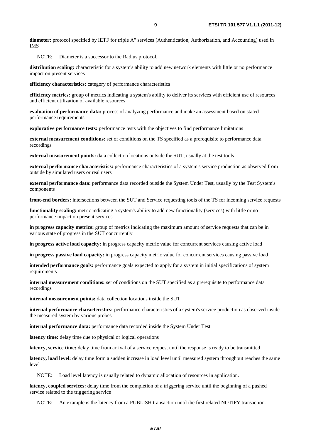**diameter:** protocol specified by IETF for triple A" services (Authentication, Authorization, and Accounting) used in IMS

NOTE: Diameter is a successor to the Radius protocol.

**distribution scaling:** characteristic for a system's ability to add new network elements with little or no performance impact on present services

**efficiency characteristics:** category of performance characteristics

**efficiency metrics:** group of metrics indicating a system's ability to deliver its services with efficient use of resources and efficient utilization of available resources

**evaluation of performance data:** process of analyzing performance and make an assessment based on stated performance requirements

**explorative performance tests:** performance tests with the objectives to find performance limitations

**external measurement conditions:** set of conditions on the TS specified as a prerequisite to performance data recordings

**external measurement points:** data collection locations outside the SUT, usually at the test tools

**external performance characteristics:** performance characteristics of a system's service production as observed from outside by simulated users or real users

**external performance data:** performance data recorded outside the System Under Test, usually by the Test System's components

**front-end borders:** intersections between the SUT and Service requesting tools of the TS for incoming service requests

**functionality scaling:** metric indicating a system's ability to add new functionality (services) with little or no performance impact on present services

**in progress capacity metrics:** group of metrics indicating the maximum amount of service requests that can be in various state of progress in the SUT concurrently

**in progress active load capacity:** in progress capacity metric value for concurrent services causing active load

**in progress passive load capacity:** in progress capacity metric value for concurrent services causing passive load

**intended performance goals:** performance goals expected to apply for a system in initial specifications of system requirements

**internal measurement conditions:** set of conditions on the SUT specified as a prerequisite to performance data recordings

**internal measurement points:** data collection locations inside the SUT

**internal performance characteristics:** performance characteristics of a system's service production as observed inside the measured system by various probes

**internal performance data:** performance data recorded inside the System Under Test

**latency time:** delay time due to physical or logical operations

**latency, service time:** delay time from arrival of a service request until the response is ready to be transmitted

**latency, load level:** delay time form a sudden increase in load level until measured system throughput reaches the same level

NOTE: Load level latency is usually related to dynamic allocation of resources in application.

**latency, coupled services:** delay time from the completion of a triggering service until the beginning of a pushed service related to the triggering service

NOTE: An example is the latency from a PUBLISH transaction until the first related NOTIFY transaction.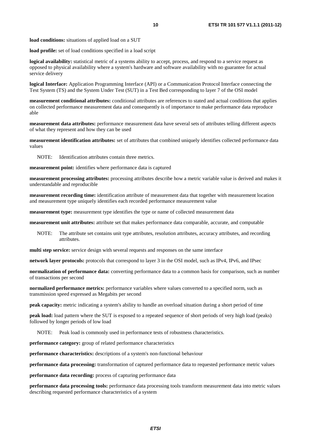**load profile:** set of load conditions specified in a load script

**logical availability:** statistical metric of a systems ability to accept, process, and respond to a service request as opposed to physical availability where a system's hardware and software availability with no guarantee for actual service delivery

**logical Interface:** Application Programming Interface (API) or a Communication Protocol Interface connecting the Test System (TS) and the System Under Test (SUT) in a Test Bed corresponding to layer 7 of the OSI model

**measurement conditional attributes:** conditional attributes are references to stated and actual conditions that applies on collected performance measurement data and consequently is of importance to make performance data reproduce able

**measurement data attributes:** performance measurement data have several sets of attributes telling different aspects of what they represent and how they can be used

**measurement identification attributes:** set of attributes that combined uniquely identifies collected performance data values

NOTE: Identification attributes contain three metrics.

**measurement point:** identifies where performance data is captured

**measurement processing attributes:** processing attributes describe how a metric variable value is derived and makes it understandable and reproducible

**measurement recording time:** identification attribute of measurement data that together with measurement location and measurement type uniquely identifies each recorded performance measurement value

**measurement type:** measurement type identifies the type or name of collected measurement data

**measurement unit attributes:** attribute set that makes performance data comparable, accurate, and computable

NOTE: The attribute set contains unit type attributes, resolution attributes, accuracy attributes, and recording attributes.

**multi step service:** service design with several requests and responses on the same interface

**network layer protocols:** protocols that correspond to layer 3 in the OSI model, such as IPv4, IPv6, and IPsec

**normalization of performance data:** converting performance data to a common basis for comparison, such as number of transactions per second

**normalized performance metrics:** performance variables where values converted to a specified norm, such as transmission speed expressed as Megabits per second

**peak capacity:** metric indicating a system's ability to handle an overload situation during a short period of time

**peak load:** load pattern where the SUT is exposed to a repeated sequence of short periods of very high load (peaks) followed by longer periods of low load

NOTE: Peak load is commonly used in performance tests of robustness characteristics.

**performance category:** group of related performance characteristics

**performance characteristics:** descriptions of a system's non-functional behaviour

**performance data processing:** transformation of captured performance data to requested performance metric values

**performance data recording:** process of capturing performance data

**performance data processing tools:** performance data processing tools transform measurement data into metric values describing requested performance characteristics of a system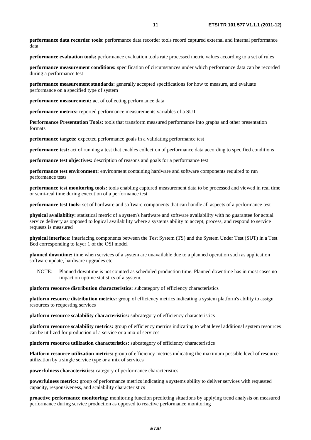**performance data recorder tools:** performance data recorder tools record captured external and internal performance data

**performance evaluation tools:** performance evaluation tools rate processed metric values according to a set of rules

**performance measurement conditions:** specification of circumstances under which performance data can be recorded during a performance test

**performance measurement standards:** generally accepted specifications for how to measure, and evaluate performance on a specified type of system

**performance measurement:** act of collecting performance data

**performance metrics:** reported performance measurements variables of a SUT

**Performance Presentation Tools:** tools that transform measured performance into graphs and other presentation formats

**performance targets:** expected performance goals in a validating performance test

**performance test:** act of running a test that enables collection of performance data according to specified conditions

**performance test objectives:** description of reasons and goals for a performance test

**performance test environment:** environment containing hardware and software components required to run performance tests

**performance test monitoring tools:** tools enabling captured measurement data to be processed and viewed in real time or semi-real time during execution of a performance test

**performance test tools:** set of hardware and software components that can handle all aspects of a performance test

**physical availability:** statistical metric of a system's hardware and software availability with no guarantee for actual service delivery as opposed to logical availability where a systems ability to accept, process, and respond to service requests is measured

**physical interface:** interfacing components between the Test System (TS) and the System Under Test (SUT) in a Test Bed corresponding to layer 1 of the OSI model

**planned downtime:** time when services of a system are unavailable due to a planned operation such as application software update, hardware upgrades etc.

NOTE: Planned downtime is not counted as scheduled production time. Planned downtime has in most cases no impact on uptime statistics of a system.

**platform resource distribution characteristics:** subcategory of efficiency characteristics

**platform resource distribution metrics:** group of efficiency metrics indicating a system platform's ability to assign resources to requesting services

**platform resource scalability characteristics:** subcategory of efficiency characteristics

**platform resource scalability metrics:** group of efficiency metrics indicating to what level additional system resources can be utilized for production of a service or a mix of services

**platform resource utilization characteristics:** subcategory of efficiency characteristics

**Platform resource utilization metrics:** group of efficiency metrics indicating the maximum possible level of resource utilization by a single service type or a mix of services

**powerfulness characteristics:** category of performance characteristics

**powerfulness metrics:** group of performance metrics indicating a systems ability to deliver services with requested capacity, responsiveness, and scalability characteristics

**proactive performance monitoring:** monitoring function predicting situations by applying trend analysis on measured performance during service production as opposed to reactive performance monitoring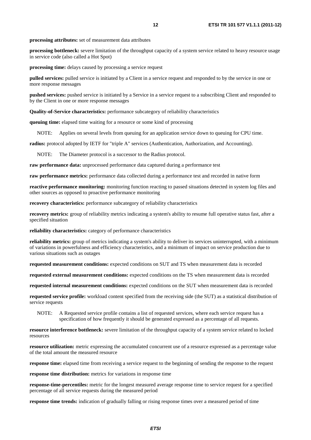**processing attributes:** set of measurement data attributes

**processing bottleneck:** severe limitation of the throughput capacity of a system service related to heavy resource usage in service code (also called a Hot Spot)

**processing time:** delays caused by processing a service request

**pulled services:** pulled service is initiated by a Client in a service request and responded to by the service in one or more response messages

**pushed services:** pushed service is initiated by a Service in a service request to a subscribing Client and responded to by the Client in one or more response messages

**Quality-of-Service characteristics:** performance subcategory of reliability characteristics

**queuing time:** elapsed time waiting for a resource or some kind of processing

NOTE: Applies on several levels from queuing for an application service down to queuing for CPU time.

**radius:** protocol adopted by IETF for "triple A" services (Authentication, Authorization, and Accounting).

NOTE: The Diameter protocol is a successor to the Radius protocol.

**raw performance data:** unprocessed performance data captured during a performance test

**raw performance metrics:** performance data collected during a performance test and recorded in native form

**reactive performance monitoring:** monitoring function reacting to passed situations detected in system log files and other sources as opposed to proactive performance monitoring

**recovery characteristics:** performance subcategory of reliability characteristics

**recovery metrics:** group of reliability metrics indicating a system's ability to resume full operative status fast, after a specified situation

**reliability characteristics:** category of performance characteristics

**reliability metrics:** group of metrics indicating a system's ability to deliver its services uninterrupted, with a minimum of variations in powerfulness and efficiency characteristics, and a minimum of impact on service production due to various situations such as outages

**requested measurement conditions:** expected conditions on SUT and TS when measurement data is recorded

**requested external measurement conditions:** expected conditions on the TS when measurement data is recorded

**requested internal measurement conditions:** expected conditions on the SUT when measurement data is recorded

**requested service profile:** workload content specified from the receiving side (the SUT) as a statistical distribution of service requests

NOTE: A Requested service profile contains a list of requested services, where each service request has a specification of how frequently it should be generated expressed as a percentage of all requests.

**resource interference bottleneck:** severe limitation of the throughput capacity of a system service related to locked resources

**resource utilization:** metric expressing the accumulated concurrent use of a resource expressed as a percentage value of the total amount the measured resource

**response time:** elapsed time from receiving a service request to the beginning of sending the response to the request

**response time distribution:** metrics for variations in response time

**response-time-percentiles:** metric for the longest measured average response time to service request for a specified percentage of all service requests during the measured period

**response time trends:** indication of gradually falling or rising response times over a measured period of time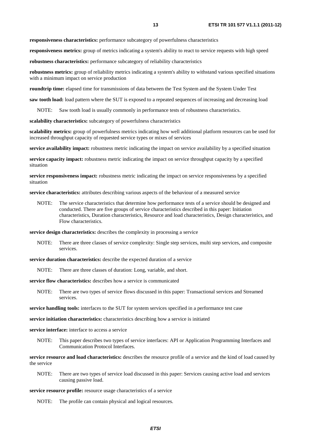**responsiveness characteristics:** performance subcategory of powerfulness characteristics

**responsiveness metrics:** group of metrics indicating a system's ability to react to service requests with high speed

**robustness characteristics:** performance subcategory of reliability characteristics

**robustness metrics:** group of reliability metrics indicating a system's ability to withstand various specified situations with a minimum impact on service production

**roundtrip time:** elapsed time for transmissions of data between the Test System and the System Under Test

**saw tooth load:** load pattern where the SUT is exposed to a repeated sequences of increasing and decreasing load

NOTE: Saw tooth load is usually commonly in performance tests of robustness characteristics.

**scalability characteristics:** subcategory of powerfulness characteristics

**scalability metrics:** group of powerfulness metrics indicating how well additional platform resources can be used for increased throughput capacity of requested service types or mixes of services

**service availability impact:** robustness metric indicating the impact on service availability by a specified situation

**service capacity impact:** robustness metric indicating the impact on service throughput capacity by a specified situation

**service responsiveness impact:** robustness metric indicating the impact on service responsiveness by a specified situation

**service characteristics:** attributes describing various aspects of the behaviour of a measured service

NOTE: The service characteristics that determine how performance tests of a service should be designed and conducted. There are five groups of service characteristics described in this paper: Initiation characteristics, Duration characteristics, Resource and load characteristics, Design characteristics, and Flow characteristics.

**service design characteristics:** describes the complexity in processing a service

NOTE: There are three classes of service complexity: Single step services, multi step services, and composite services.

**service duration characteristics:** describe the expected duration of a service

NOTE: There are three classes of duration: Long, variable, and short.

**service flow characteristics:** describes how a service is communicated

NOTE: There are two types of service flows discussed in this paper: Transactional services and Streamed services.

**service handling tools:** interfaces to the SUT for system services specified in a performance test case

**service initiation characteristics:** characteristics describing how a service is initiated

**service interface:** interface to access a service

NOTE: This paper describes two types of service interfaces: API or Application Programming Interfaces and Communication Protocol Interfaces.

**service resource and load characteristics:** describes the resource profile of a service and the kind of load caused by the service

NOTE: There are two types of service load discussed in this paper: Services causing active load and services causing passive load.

**service resource profile:** resource usage characteristics of a service

NOTE: The profile can contain physical and logical resources.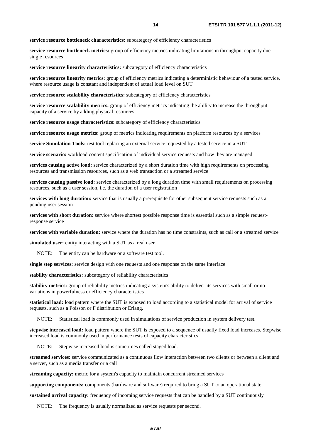**service resource bottleneck characteristics:** subcategory of efficiency characteristics

**service resource bottleneck metrics:** group of efficiency metrics indicating limitations in throughput capacity due single resources

**service resource linearity characteristics:** subcategory of efficiency characteristics

**service resource linearity metrics:** group of efficiency metrics indicating a deterministic behaviour of a tested service, where resource usage is constant and independent of actual load level on SUT

**service resource scalability characteristics:** subcategory of efficiency characteristics

**service resource scalability metrics:** group of efficiency metrics indicating the ability to increase the throughput capacity of a service by adding physical resources

**service resource usage characteristics:** subcategory of efficiency characteristics

**service resource usage metrics:** group of metrics indicating requirements on platform resources by a services

**service Simulation Tools:** test tool replacing an external service requested by a tested service in a SUT

**service scenario:** workload content specification of individual service requests and how they are managed

**services causing active load:** service characterized by a short duration time with high requirements on processing resources and transmission resources, such as a web transaction or a streamed service

**services causing passive load:** service characterized by a long duration time with small requirements on processing resources, such as a user session, i.e. the duration of a user registration

**services with long duration:** service that is usually a prerequisite for other subsequent service requests such as a pending user session

**services with short duration:** service where shortest possible response time is essential such as a simple requestresponse service

**services with variable duration:** service where the duration has no time constraints, such as call or a streamed service

**simulated user:** entity interacting with a SUT as a real user

NOTE: The entity can be hardware or a software test tool.

**single step services:** service design with one requests and one response on the same interface

**stability characteristics:** subcategory of reliability characteristics

**stability metrics:** group of reliability metrics indicating a system's ability to deliver its services with small or no variations in powerfulness or efficiency characteristics

**statistical load:** load pattern where the SUT is exposed to load according to a statistical model for arrival of service requests, such as a Poisson or F distribution or Erlang.

NOTE: Statistical load is commonly used in simulations of service production in system delivery test.

**stepwise increased load:** load pattern where the SUT is exposed to a sequence of usually fixed load increases. Stepwise increased load is commonly used in performance tests of capacity characteristics

NOTE: Stepwise increased load is sometimes called staged load.

**streamed services:** service communicated as a continuous flow interaction between two clients or between a client and a server, such as a media transfer or a call

**streaming capacity:** metric for a system's capacity to maintain concurrent streamed services

**supporting components:** components (hardware and software) required to bring a SUT to an operational state

**sustained arrival capacity:** frequency of incoming service requests that can be handled by a SUT continuously

NOTE: The frequency is usually normalized as service requests per second.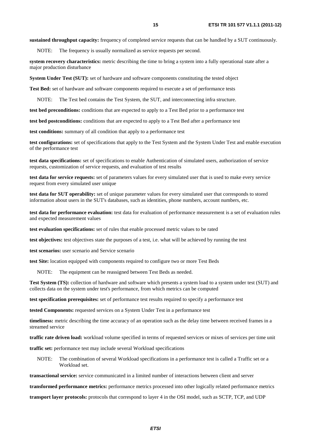**sustained throughput capacity:** frequency of completed service requests that can be handled by a SUT continuously.

NOTE: The frequency is usually normalized as service requests per second.

**system recovery characteristics:** metric describing the time to bring a system into a fully operational state after a major production disturbance

**System Under Test (SUT):** set of hardware and software components constituting the tested object

**Test Bed:** set of hardware and software components required to execute a set of performance tests

NOTE: The Test bed contains the Test System, the SUT, and interconnecting infra structure.

**test bed preconditions:** conditions that are expected to apply to a Test Bed prior to a performance test

**test bed postconditions:** conditions that are expected to apply to a Test Bed after a performance test

**test conditions:** summary of all condition that apply to a performance test

**test configurations:** set of specifications that apply to the Test System and the System Under Test and enable execution of the performance test

**test data specifications:** set of specifications to enable Authentication of simulated users, authorization of service requests, customization of service requests, and evaluation of test results

**test data for service requests:** set of parameters values for every simulated user that is used to make every service request from every simulated user unique

**test data for SUT operability:** set of unique parameter values for every simulated user that corresponds to stored information about users in the SUT's databases, such as identities, phone numbers, account numbers, etc.

**test data for performance evaluation:** test data for evaluation of performance measurement is a set of evaluation rules and expected measurement values

**test evaluation specifications:** set of rules that enable processed metric values to be rated

**test objectives:** test objectives state the purposes of a test, i.e. what will be achieved by running the test

**test scenarios:** user scenario and Service scenario

**test Site:** location equipped with components required to configure two or more Test Beds

NOTE: The equipment can be reassigned between Test Beds as needed.

**Test System (TS):** collection of hardware and software which presents a system load to a system under test (SUT) and collects data on the system under test's performance, from which metrics can be computed

**test specification prerequisites:** set of performance test results required to specify a performance test

**tested Components:** requested services on a System Under Test in a performance test

**timeliness:** metric describing the time accuracy of an operation such as the delay time between received frames in a streamed service

**traffic rate driven load:** workload volume specified in terms of requested services or mixes of services per time unit

**traffic set:** performance test may include several Workload specifications

NOTE: The combination of several Workload specifications in a performance test is called a Traffic set or a Workload set.

**transactional service:** service communicated in a limited number of interactions between client and server

**transformed performance metrics:** performance metrics processed into other logically related performance metrics

**transport layer protocols:** protocols that correspond to layer 4 in the OSI model, such as SCTP, TCP, and UDP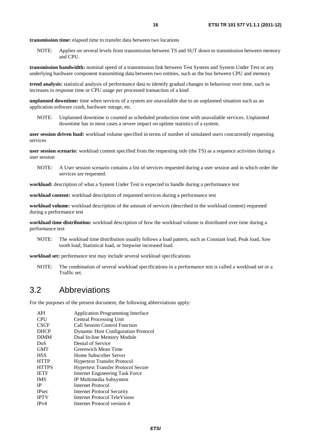**transmission time:** elapsed time to transfer data between two locations

NOTE: Applies on several levels from transmission between TS and SUT down to transmission between memory and CPU.

**transmission bandwidth:** nominal speed of a transmission link between Test System and System Under Test or any underlying hardware component transmitting data between two entities, such as the bus between CPU and memory

**trend analysis:** statistical analysis of performance data to identify gradual changes in behaviour over time, such as increases in response time or CPU usage per processed transaction of a kind

**unplanned downtime:** time when services of a system are unavailable due to an unplanned situation such as an application software crash, hardware outage, etc.

NOTE: Unplanned downtime is counted as scheduled production time with unavailable services. Unplanned downtime has in most cases a severe impact on uptime statistics of a system.

**user session driven load:** workload volume specified in terms of number of simulated users concurrently requesting services

**user session scenario:** workload content specified from the requesting side (the TS) as a sequence activities during a user session

NOTE: A User session scenario contains a list of services requested during a user session and in which order the services are requested.

**workload:** description of what a System Under Test is expected to handle during a performance test

**workload content:** workload description of requested services during a performance test

**workload volume:** workload description of the amount of services (described in the workload content) requested during a performance test

**workload time distribution:** workload description of how the workload volume is distributed over time during a performance test

NOTE: The workload time distribution usually follows a load pattern, such as Constant load, Peak load, Saw tooth load, Statistical load, or Stepwise increased load.

**workload set:** performance test may include several workload specifications

NOTE: The combination of several workload specifications in a performance test is called a workload set or a Traffic set.

## 3.2 Abbreviations

For the purposes of the present document, the following abbreviations apply:

| <b>Application Programming Interface</b>   |
|--------------------------------------------|
| <b>Central Processing Unit</b>             |
| <b>Call Session Control Function</b>       |
| <b>Dynamic Host Configuration Protocol</b> |
| Dual In-line Memory Module                 |
| Denial of Service                          |
| Greenwich Mean Time                        |
| Home Subscriber Server                     |
| <b>Hypertext Transfer Protocol</b>         |
| <b>Hypertext Transfer Protocol Secure</b>  |
| <b>Internet Engineering Task Force</b>     |
| IP Multimedia Subsystem                    |
| Internet Protocol                          |
| Internet Protocol Security                 |
| Internet Protocol TeleVision               |
| Internet Protocol version 4                |
|                                            |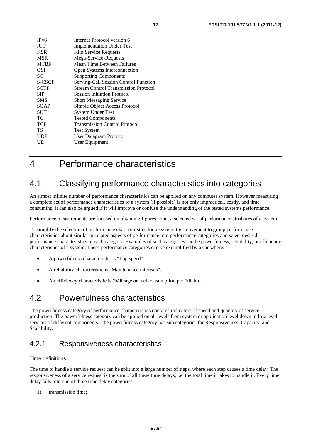| IP <sub>v</sub> 6 | Internet Protocol version 6                 |
|-------------------|---------------------------------------------|
| <b>IUT</b>        | <b>Implementation Under Test</b>            |
| <b>KSR</b>        | Kilo Service Requests                       |
| <b>MSR</b>        | Mega-Service-Requests                       |
| <b>MTBF</b>       | Mean Time Between Failures                  |
| OSI               | Open Systems Interconnection                |
| SC                | <b>Supporting Components</b>                |
| S-CSCF            | Serving-Call Session Control Function       |
| <b>SCTP</b>       | <b>Stream Control Transmission Protocol</b> |
| <b>SIP</b>        | <b>Session Initiation Protocol</b>          |
| <b>SMS</b>        | <b>Short Messaging Service</b>              |
| SOAP              | Simple Object Access Protocol               |
| SUT               | <b>System Under Test</b>                    |
| TС                | <b>Tested Components</b>                    |
| <b>TCP</b>        | <b>Transmission Control Protocol</b>        |
| TS                | <b>Test System</b>                          |
| <b>UDP</b>        | User Datagram Protocol                      |
| UE                | User Equipment                              |

## 4 Performance characteristics

## 4.1 Classifying performance characteristics into categories

An almost infinite number of performance characteristics can be applied on any computer system. However measuring a complete set of performance characteristics of a system (if possible) is not only impractical, costly, and time consuming, it can also be argued if it will improve or confuse the understanding of the tested systems performance.

Performance measurements are focused on obtaining figures about a selected set of performance attributes of a system.

To simplify the selection of performance characteristics for a system it is convenient to group performance characteristics about similar or related aspects of performance into performance categories and select desired performance characteristics in each category. Examples of such categories can be powerfulness, reliability, or efficiency characteristics of a system. These performance categories can be exemplified by a car where:

- A powerfulness characteristic is "Top speed".
- A reliability characteristic is "Maintenance intervals".
- An efficiency characteristic is "Mileage or fuel consumption per 100 km".

## 4.2 Powerfulness characteristics

The powerfulness category of performance characteristics contains indicators of speed and quantity of service production. The powerfulness category can be applied on all levels from system or application level down to low level services of different components. The powerfulness category has sub categories for Responsiveness, Capacity, and Scalability.

## 4.2.1 Responsiveness characteristics

### Time definitions

The time to handle a service request can be split into a large number of steps, where each step causes a time delay. The responsiveness of a service request is the sum of all these time delays, i.e. the total time it takes to handle it. Every time delay falls into one of three time delay categories:

1) transmission time;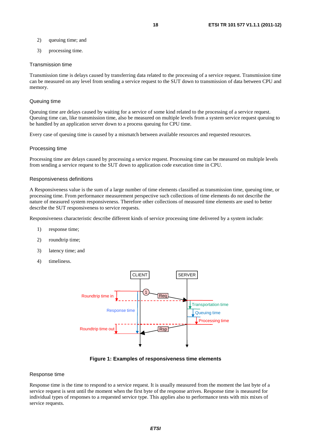- 2) queuing time; and
- 3) processing time.

### Transmission time

Transmission time is delays caused by transferring data related to the processing of a service request. Transmission time can be measured on any level from sending a service request to the SUT down to transmission of data between CPU and memory.

### Queuing time

Queuing time are delays caused by waiting for a service of some kind related to the processing of a service request. Queuing time can, like transmission time, also be measured on multiple levels from a system service request queuing to be handled by an application server down to a process queuing for CPU time.

Every case of queuing time is caused by a mismatch between available resources and requested resources.

#### Processing time

Processing time are delays caused by processing a service request. Processing time can be measured on multiple levels from sending a service request to the SUT down to application code execution time in CPU.

#### Responsiveness definitions

A Responsiveness value is the sum of a large number of time elements classified as transmission time, queuing time, or processing time. From performance measurement perspective such collections of time elements do not describe the nature of measured system responsiveness. Therefore other collections of measured time elements are used to better describe the SUT responsiveness to service requests.

Responsiveness characteristic describe different kinds of service processing time delivered by a system include:

- 1) response time;
- 2) roundtrip time;
- 3) latency time; and
- 4) timeliness.



**Figure 1: Examples of responsiveness time elements** 

#### Response time

Response time is the time to respond to a service request. It is usually measured from the moment the last byte of a service request is sent until the moment when the first byte of the response arrives. Response time is measured for individual types of responses to a requested service type. This applies also to performance tests with mix mixes of service requests.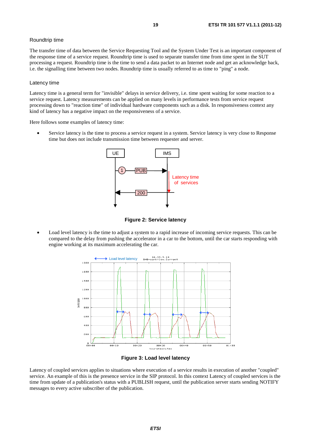### Roundtrip time

The transfer time of data between the Service Requesting Tool and the System Under Test is an important component of the response time of a service request. Roundtrip time is used to separate transfer time from time spent in the SUT processing a request. Roundtrip time is the time to send a data packet to an Internet node and get an acknowledge back, i.e. the signalling time between two nodes. Roundtrip time is usually referred to as time to "ping" a node.

### Latency time

Latency time is a general term for "invisible" delays in service delivery, i.e. time spent waiting for some reaction to a service request. Latency measurements can be applied on many levels in performance tests from service request processing down to "reaction time" of individual hardware components such as a disk. In responsiveness context any kind of latency has a negative impact on the responsiveness of a service.

Here follows some examples of latency time:

Service latency is the time to process a service request in a system. Service latency is very close to Response time but does not include transmission time between requester and server.



**Figure 2: Service latency** 

• Load level latency is the time to adjust a system to a rapid increase of incoming service requests. This can be compared to the delay from pushing the accelerator in a car to the bottom, until the car starts responding with engine working at its maximum accelerating the car.





Latency of coupled services applies to situations where execution of a service results in execution of another "coupled" service. An example of this is the presence service in the SIP protocol. In this context Latency of coupled services is the time from update of a publication's status with a PUBLISH request, until the publication server starts sending NOTIFY messages to every active subscriber of the publication.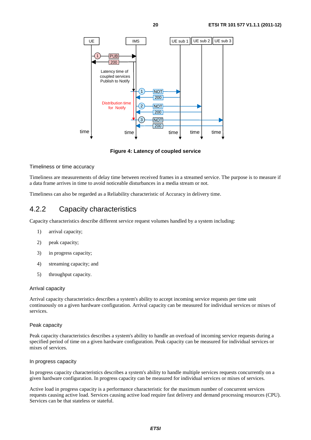

**Figure 4: Latency of coupled service** 

### Timeliness or time accuracy

Timeliness are measurements of delay time between received frames in a streamed service. The purpose is to measure if a data frame arrives in time to avoid noticeable disturbances in a media stream or not.

Timeliness can also be regarded as a Reliability characteristic of Accuracy in delivery time.

## 4.2.2 Capacity characteristics

Capacity characteristics describe different service request volumes handled by a system including:

- 1) arrival capacity;
- 2) peak capacity;
- 3) in progress capacity;
- 4) streaming capacity; and
- 5) throughput capacity.

### Arrival capacity

Arrival capacity characteristics describes a system's ability to accept incoming service requests per time unit continuously on a given hardware configuration. Arrival capacity can be measured for individual services or mixes of services.

### Peak capacity

Peak capacity characteristics describes a system's ability to handle an overload of incoming service requests during a specified period of time on a given hardware configuration. Peak capacity can be measured for individual services or mixes of services.

### In progress capacity

In progress capacity characteristics describes a system's ability to handle multiple services requests concurrently on a given hardware configuration. In progress capacity can be measured for individual services or mixes of services.

Active load in progress capacity is a performance characteristic for the maximum number of concurrent services requests causing active load. Services causing active load require fast delivery and demand processing resources (CPU). Services can be that stateless or stateful.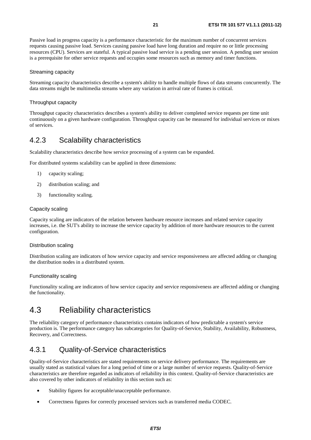Passive load in progress capacity is a performance characteristic for the maximum number of concurrent services requests causing passive load. Services causing passive load have long duration and require no or little processing resources (CPU). Services are stateful. A typical passive load service is a pending user session. A pending user session is a prerequisite for other service requests and occupies some resources such as memory and timer functions.

### Streaming capacity

Streaming capacity characteristics describe a system's ability to handle multiple flows of data streams concurrently. The data streams might be multimedia streams where any variation in arrival rate of frames is critical.

### Throughput capacity

Throughput capacity characteristics describes a system's ability to deliver completed service requests per time unit continuously on a given hardware configuration. Throughput capacity can be measured for individual services or mixes of services.

### 4.2.3 Scalability characteristics

Scalability characteristics describe how service processing of a system can be expanded.

For distributed systems scalability can be applied in three dimensions:

- 1) capacity scaling;
- 2) distribution scaling; and
- 3) functionality scaling.

### Capacity scaling

Capacity scaling are indicators of the relation between hardware resource increases and related service capacity increases, i.e. the SUT's ability to increase the service capacity by addition of more hardware resources to the current configuration.

### Distribution scaling

Distribution scaling are indicators of how service capacity and service responsiveness are affected adding or changing the distribution nodes in a distributed system.

### Functionality scaling

Functionality scaling are indicators of how service capacity and service responsiveness are affected adding or changing the functionality.

## 4.3 Reliability characteristics

The reliability category of performance characteristics contains indicators of how predictable a system's service production is. The performance category has subcategories for Quality-of-Service, Stability, Availability, Robustness, Recovery, and Correctness.

## 4.3.1 Quality-of-Service characteristics

Quality-of-Service characteristics are stated requirements on service delivery performance. The requirements are usually stated as statistical values for a long period of time or a large number of service requests. Quality-of-Service characteristics are therefore regarded as indicators of reliability in this context. Quality-of-Service characteristics are also covered by other indicators of reliability in this section such as:

- Stability figures for acceptable/unacceptable performance.
- Correctness figures for correctly processed services such as transferred media CODEC.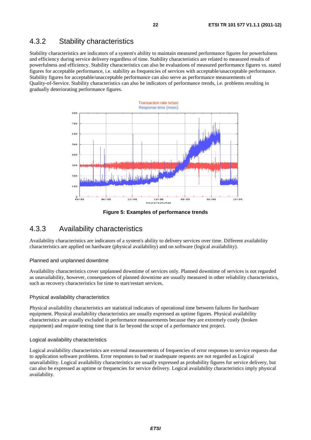## 4.3.2 Stability characteristics

Stability characteristics are indicators of a system's ability to maintain measured performance figures for powerfulness and efficiency during service delivery regardless of time. Stability characteristics are related to measured results of powerfulness and efficiency. Stability characteristics can also be evaluations of measured performance figures vs. stated figures for acceptable performance, i.e. stability as frequencies of services with acceptable/unacceptable performance. Stability figures for acceptable/unacceptable performance can also serve as performance measurements of Quality-of-Service. Stability characteristics can also be indicators of performance trends, i.e. problems resulting in gradually deteriorating performance figures.



**Figure 5: Examples of performance trends** 

### 4.3.3 Availability characteristics

Availability characteristics are indicators of a system's ability to delivery services over time. Different availability characteristics are applied on hardware (physical availability) and on software (logical availability).

### Planned and unplanned downtime

Availability characteristics cover unplanned downtime of services only. Planned downtime of services is not regarded as unavailability, however, consequences of planned downtime are usually measured in other reliability characteristics, such as recovery characteristics for time to start/restart services.

### Physical availability characteristics

Physical availability characteristics are statistical indicators of operational time between failures for hardware equipment. Physical availability characteristics are usually expressed as uptime figures. Physical availability characteristics are usually excluded in performance measurements because they are extremely costly (broken equipment) and require testing time that is far beyond the scope of a performance test project.

### Logical availability characteristics

Logical availability characteristics are external measurements of frequencies of error responses to service requests due to application software problems. Error responses to bad or inadequate requests are not regarded as Logical unavailability. Logical availability characteristics are usually expressed as probability figures for service delivery, but can also be expressed as uptime or frequencies for service delivery. Logical availability characteristics imply physical availability.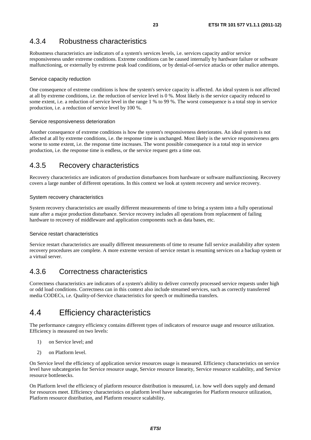## 4.3.4 Robustness characteristics

Robustness characteristics are indicators of a system's services levels, i.e. services capacity and/or service responsiveness under extreme conditions. Extreme conditions can be caused internally by hardware failure or software malfunctioning, or externally by extreme peak load conditions, or by denial-of-service attacks or other malice attempts.

### Service capacity reduction

One consequence of extreme conditions is how the system's service capacity is affected. An ideal system is not affected at all by extreme conditions, i.e. the reduction of service level is 0 %. Most likely is the service capacity reduced to some extent, i.e. a reduction of service level in the range 1 % to 99 %. The worst consequence is a total stop in service production, i.e. a reduction of service level by 100 %.

### Service responsiveness deterioration

Another consequence of extreme conditions is how the system's responsiveness deteriorates. An ideal system is not affected at all by extreme conditions, i.e. the response time is unchanged. Most likely is the service responsiveness gets worse to some extent, i.e. the response time increases. The worst possible consequence is a total stop in service production, i.e. the response time is endless, or the service request gets a time out.

### 4.3.5 Recovery characteristics

Recovery characteristics are indicators of production disturbances from hardware or software malfunctioning. Recovery covers a large number of different operations. In this context we look at system recovery and service recovery.

### System recovery characteristics

System recovery characteristics are usually different measurements of time to bring a system into a fully operational state after a major production disturbance. Service recovery includes all operations from replacement of failing hardware to recovery of middleware and application components such as data bases, etc.

### Service restart characteristics

Service restart characteristics are usually different measurements of time to resume full service availability after system recovery procedures are complete. A more extreme version of service restart is resuming services on a backup system or a virtual server.

## 4.3.6 Correctness characteristics

Correctness characteristics are indicators of a system's ability to deliver correctly processed service requests under high or odd load conditions. Correctness can in this context also include streamed services, such as correctly transferred media CODECs, i.e. Quality-of-Service characteristics for speech or multimedia transfers.

## 4.4 Efficiency characteristics

The performance category efficiency contains different types of indicators of resource usage and resource utilization. Efficiency is measured on two levels:

- 1) on Service level; and
- 2) on Platform level.

On Service level the efficiency of application service resources usage is measured. Efficiency characteristics on service level have subcategories for Service resource usage, Service resource linearity, Service resource scalability, and Service resource bottlenecks.

On Platform level the efficiency of platform resource distribution is measured, i.e. how well does supply and demand for resources meet. Efficiency characteristics on platform level have subcategories for Platform resource utilization, Platform resource distribution, and Platform resource scalability.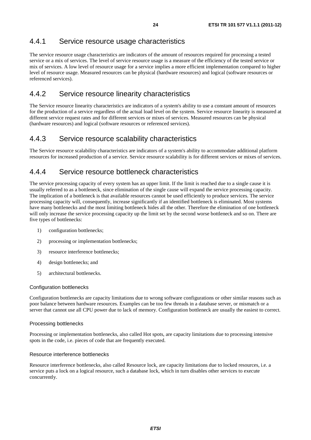## 4.4.1 Service resource usage characteristics

The service resource usage characteristics are indicators of the amount of resources required for processing a tested service or a mix of services. The level of service resource usage is a measure of the efficiency of the tested service or mix of services. A low level of resource usage for a service implies a more efficient implementation compared to higher level of resource usage. Measured resources can be physical (hardware resources) and logical (software resources or referenced services).

### 4.4.2 Service resource linearity characteristics

The Service resource linearity characteristics are indicators of a system's ability to use a constant amount of resources for the production of a service regardless of the actual load level on the system. Service resource linearity is measured at different service request rates and for different services or mixes of services. Measured resources can be physical (hardware resources) and logical (software resources or referenced services).

### 4.4.3 Service resource scalability characteristics

The Service resource scalability characteristics are indicators of a system's ability to accommodate additional platform resources for increased production of a service. Service resource scalability is for different services or mixes of services.

### 4.4.4 Service resource bottleneck characteristics

The service processing capacity of every system has an upper limit. If the limit is reached due to a single cause it is usually referred to as a bottleneck, since elimination of the single cause will expand the service processing capacity. The implication of a bottleneck is that available resources cannot be used efficiently to produce services. The service processing capacity will, consequently, increase significantly if an identified bottleneck is eliminated. Most systems have many bottlenecks and the most limiting bottleneck hides all the other. Therefore the elimination of one bottleneck will only increase the service processing capacity up the limit set by the second worse bottleneck and so on. There are five types of bottlenecks:

- 1) configuration bottlenecks;
- 2) processing or implementation bottlenecks;
- 3) resource interference bottlenecks;
- 4) design bottlenecks; and
- 5) architectural bottlenecks.

### Configuration bottlenecks

Configuration bottlenecks are capacity limitations due to wrong software configurations or other similar reasons such as poor balance between hardware resources. Examples can be too few threads in a database server, or mismatch or a server that cannot use all CPU power due to lack of memory. Configuration bottleneck are usually the easiest to correct.

### Processing bottlenecks

Processing or implementation bottlenecks, also called Hot spots, are capacity limitations due to processing intensive spots in the code, i.e. pieces of code that are frequently executed.

### Resource interference bottlenecks

Resource interference bottlenecks, also called Resource lock, are capacity limitations due to locked resources, i.e. a service puts a lock on a logical resource, such a database lock, which in turn disables other services to execute concurrently.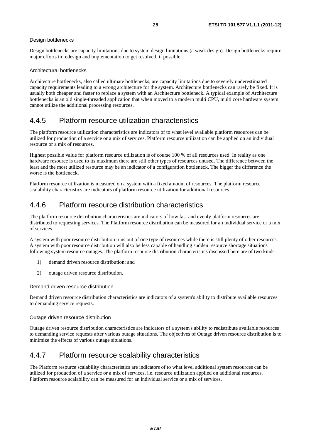### Design bottlenecks

Design bottlenecks are capacity limitations due to system design limitations (a weak design). Design bottlenecks require major efforts in redesign and implementation to get resolved, if possible.

### Architectural bottlenecks

Architecture bottlenecks, also called ultimate bottlenecks, are capacity limitations due to severely underestimated capacity requirements leading to a wrong architecture for the system. Architecture bottlenecks can rarely be fixed. It is usually both cheaper and faster to replace a system with an Architecture bottleneck. A typical example of Architecture bottlenecks is an old single-threaded application that when moved to a modern multi CPU, multi core hardware system cannot utilize the additional processing resources.

### 4.4.5 Platform resource utilization characteristics

The platform resource utilization characteristics are indicators of to what level available platform resources can be utilized for production of a service or a mix of services. Platform resource utilization can be applied on an individual resource or a mix of resources.

Highest possible value for platform resource utilization is of course 100 % of all resources used. In reality as one hardware resource is used to its maximum there are still other types of resources unused. The difference between the least and the most utilized resource may be an indicator of a configuration bottleneck. The bigger the difference the worse is the bottleneck.

Platform resource utilization is measured on a system with a fixed amount of resources. The platform resource scalability characteristics are indicators of platform resource utilization for additional resources.

## 4.4.6 Platform resource distribution characteristics

The platform resource distribution characteristics are indicators of how fast and evenly platform resources are distributed to requesting services. The Platform resource distribution can be measured for an individual service or a mix of services.

A system with poor resource distribution runs out of one type of resources while there is still plenty of other resources. A system with poor resource distribution will also be less capable of handling sudden resource shortage situations following system resource outages. The platform resource distribution characteristics discussed here are of two kinds:

- 1) demand driven resource distribution; and
- 2) outage driven resource distribution.

### Demand driven resource distribution

Demand driven resource distribution characteristics are indicators of a system's ability to distribute available resources to demanding service requests.

### Outage driven resource distribution

Outage driven resource distribution characteristics are indicators of a system's ability to redistribute available resources to demanding service requests after various outage situations. The objectives of Outage driven resource distribution is to minimize the effects of various outage situations.

### 4.4.7 Platform resource scalability characteristics

The Platform resource scalability characteristics are indicators of to what level additional system resources can be utilized for production of a service or a mix of services, i.e. resource utilization applied on additional resources. Platform resource scalability can be measured for an individual service or a mix of services.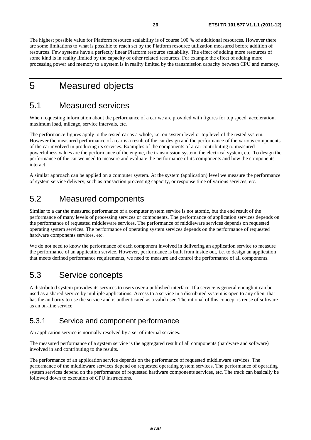The highest possible value for Platform resource scalability is of course 100 % of additional resources. However there are some limitations to what is possible to reach set by the Platform resource utilization measured before addition of resources. Few systems have a perfectly linear Platform resource scalability. The effect of adding more resources of some kind is in reality limited by the capacity of other related resources. For example the effect of adding more processing power and memory to a system is in reality limited by the transmission capacity between CPU and memory.

## 5 Measured objects

## 5.1 Measured services

When requesting information about the performance of a car we are provided with figures for top speed, acceleration, maximum load, mileage, service intervals, etc.

The performance figures apply to the tested car as a whole, i.e. on system level or top level of the tested system. However the measured performance of a car is a result of the car design and the performance of the various components of the car involved in producing its services. Examples of the components of a car contributing to measured powerfulness values are the performance of the engine, the transmission system, the electrical system, etc. To design the performance of the car we need to measure and evaluate the performance of its components and how the components interact.

A similar approach can be applied on a computer system. At the system (application) level we measure the performance of system service delivery, such as transaction processing capacity, or response time of various services, etc.

## 5.2 Measured components

Similar to a car the measured performance of a computer system service is not atomic, but the end result of the performance of many levels of processing services or components. The performance of application services depends on the performance of requested middleware services. The performance of middleware services depends on requested operating system services. The performance of operating system services depends on the performance of requested hardware components services, etc.

We do not need to know the performance of each component involved in delivering an application service to measure the performance of an application service. However, performance is built from inside out, i.e. to design an application that meets defined performance requirements, we need to measure and control the performance of all components.

## 5.3 Service concepts

A distributed system provides its services to users over a published interface. If a service is general enough it can be used as a shared service by multiple applications. Access to a service in a distributed system is open to any client that has the authority to use the service and is authenticated as a valid user. The rational of this concept is reuse of software as an on-line service.

## 5.3.1 Service and component performance

An application service is normally resolved by a set of internal services.

The measured performance of a system service is the aggregated result of all components (hardware and software) involved in and contributing to the results.

The performance of an application service depends on the performance of requested middleware services. The performance of the middleware services depend on requested operating system services. The performance of operating system services depend on the performance of requested hardware components services, etc. The track can basically be followed down to execution of CPU instructions.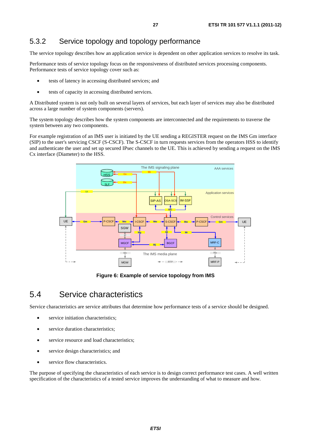## 5.3.2 Service topology and topology performance

The service topology describes how an application service is dependent on other application services to resolve its task.

Performance tests of service topology focus on the responsiveness of distributed services processing components. Performance tests of service topology cover such as:

- tests of latency in accessing distributed services; and
- tests of capacity in accessing distributed services.

A Distributed system is not only built on several layers of services, but each layer of services may also be distributed across a large number of system components (servers).

The system topology describes how the system components are interconnected and the requirements to traverse the system between any two components.

For example registration of an IMS user is initiated by the UE sending a REGISTER request on the IMS Gm interface (SIP) to the user's servicing CSCF (S-CSCF). The S-CSCF in turn requests services from the operators HSS to identify and authenticate the user and set up secured IPsec channels to the UE. This is achieved by sending a request on the IMS Cx interface (Diameter) to the HSS.



**Figure 6: Example of service topology from IMS** 

## 5.4 Service characteristics

Service characteristics are service attributes that determine how performance tests of a service should be designed.

- service initiation characteristics:
- service duration characteristics:
- service resource and load characteristics;
- service design characteristics; and
- service flow characteristics.

The purpose of specifying the characteristics of each service is to design correct performance test cases. A well written specification of the characteristics of a tested service improves the understanding of what to measure and how.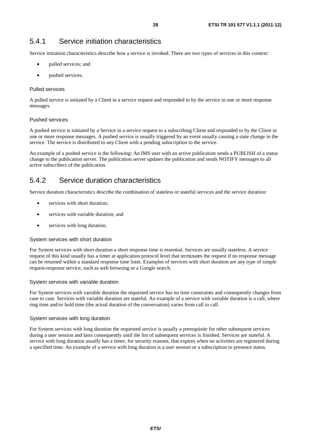## 5.4.1 Service initiation characteristics

Service initiation characteristics describe how a service is invoked. There are two types of services in this context:

- pulled services; and
- pushed services.

### Pulled services

A pulled service is initiated by a Client in a service request and responded to by the service in one or more response messages.

### Pushed services

A pushed service is initiated by a Service in a service request to a subscribing Client and responded to by the Client in one or more response messages. A pushed service is usually triggered by an event usually causing a state change in the service. The service is distributed to any Client with a pending subscription to the service.

An example of a pushed service is the following: An IMS user with an active publication sends a PUBLISH of a status change to the publication server. The publication server updates the publication and sends NOTIFY messages to all active subscribers of the publication.

## 5.4.2 Service duration characteristics

Service duration characteristics describe the combination of stateless or stateful services and the service duration:

- services with short duration;
- services with variable duration; and
- services with long duration.

### System services with short duration

For System services with short duration a short response time is essential. Services are usually stateless. A service request of this kind usually has a timer at application protocol level that terminates the request if no response message can be returned within a standard response time limit. Examples of services with short duration are any type of simple request-response service, such as web browsing or a Google search.

### System services with variable duration

For System services with variable duration the requested service has no time constraints and consequently changes from case to case. Services with variable duration are stateful. An example of a service with variable duration is a call, where ring time and/or hold time (the actual duration of the conversation) varies from call to call.

### System services with long duration

For System services with long duration the requested service is usually a prerequisite for other subsequent services during a user session and lasts consequently until the list of subsequent services is finished. Services are stateful. A service with long duration usually has a timer, for security reasons, that expires when no activities are registered during a specified time. An example of a service with long duration is a user session or a subscription to presence status.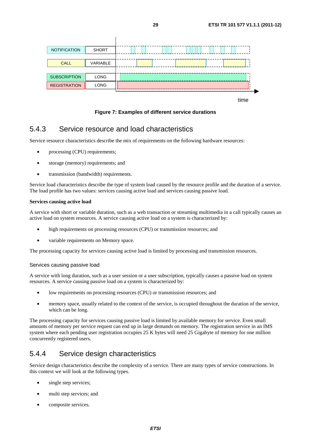

time

**Figure 7: Examples of different service durations** 

### 5.4.3 Service resource and load characteristics

Service resource characteristics describe the mix of requirements on the following hardware resources:

- processing (CPU) requirements;
- storage (memory) requirements; and
- transmission (bandwidth) requirements.

Service load characteristics describe the type of system load caused by the resource profile and the duration of a service. The load profile has two values: services causing active load and services causing passive load.

### **Services causing active load**

A service with short or variable duration, such as a web transaction or streaming multimedia in a call typically causes an active load on system resources. A service causing active load on a system is characterized by:

- high requirements on processing resources (CPU) or transmission resources; and
- variable requirements on Memory space.

The processing capacity for services causing active load is limited by processing and transmission resources.

### Services causing passive load

A service with long duration, such as a user session or a user subscription, typically causes a passive load on system resources. A service causing passive load on a system is characterized by:

- low requirements on processing resources (CPU) or transmission resources; and
- memory space, usually related to the context of the service, is occupied throughout the duration of the service, which can be long.

The processing capacity for services causing passive load is limited by available memory for service. Even small amounts of memory per service request can end up in large demands on memory. The registration service in an IMS system where each pending user registration occupies 25 K bytes will need 25 Gigabyte of memory for one million concurrently registered users.

## 5.4.4 Service design characteristics

Service design characteristics describe the complexity of a service. There are many types of service constructions. In this context we will look at the following types.

- single step services;
- multi step services; and
- composite services.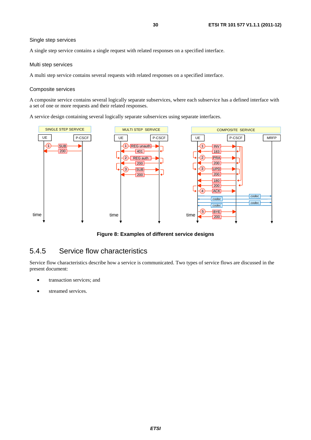### Single step services

A single step service contains a single request with related responses on a specified interface.

#### Multi step services

A multi step service contains several requests with related responses on a specified interface.

#### Composite services

A composite service contains several logically separate subservices, where each subservice has a defined interface with a set of one or more requests and their related responses.

A service design containing several logically separate subservices using separate interfaces.



**Figure 8: Examples of different service designs** 

### 5.4.5 Service flow characteristics

Service flow characteristics describe how a service is communicated. Two types of service flows are discussed in the present document:

- transaction services; and
- streamed services.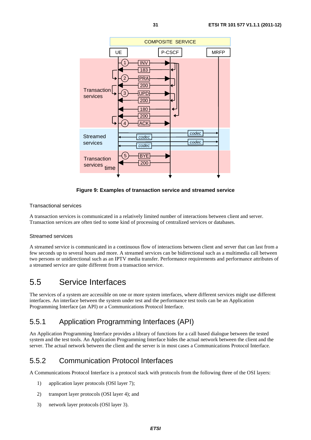

### **Figure 9: Examples of transaction service and streamed service**

### Transactional services

A transaction services is communicated in a relatively limited number of interactions between client and server. Transaction services are often tied to some kind of processing of centralized services or databases.

### Streamed services

A streamed service is communicated in a continuous flow of interactions between client and server that can last from a few seconds up to several hours and more. A streamed services can be bidirectional such as a multimedia call between two persons or unidirectional such as an IPTV media transfer. Performance requirements and performance attributes of a streamed service are quite different from a transaction service.

## 5.5 Service Interfaces

The services of a system are accessible on one or more system interfaces, where different services might use different interfaces. An interface between the system under test and the performance test tools can be an Application Programming Interface (an API) or a Communications Protocol Interface.

## 5.5.1 Application Programming Interfaces (API)

An Application Programming Interface provides a library of functions for a call based dialogue between the tested system and the test tools. An Application Programming Interface hides the actual network between the client and the server. The actual network between the client and the server is in most cases a Communications Protocol Interface.

## 5.5.2 Communication Protocol Interfaces

A Communications Protocol Interface is a protocol stack with protocols from the following three of the OSI layers:

- 1) application layer protocols (OSI layer 7);
- 2) transport layer protocols (OSI layer 4); and
- 3) network layer protocols (OSI layer 3).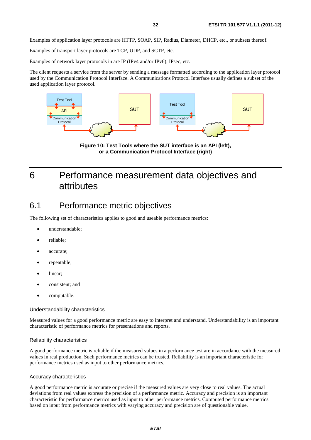Examples of application layer protocols are HTTP, SOAP, SIP, Radius, Diameter, DHCP, etc., or subsets thereof.

Examples of transport layer protocols are TCP, UDP, and SCTP, etc.

Examples of network layer protocols in are IP (IPv4 and/or IPv6), IPsec, etc.

The client requests a service from the server by sending a message formatted according to the application layer protocol used by the Communication Protocol Interface. A Communications Protocol Interface usually defines a subset of the used application layer protocol.



**Figure 10: Test Tools where the SUT interface is an API (left), or a Communication Protocol Interface (right)** 

## 6 Performance measurement data objectives and attributes

## 6.1 Performance metric objectives

The following set of characteristics applies to good and useable performance metrics:

- understandable;
- reliable;
- accurate;
- repeatable;
- linear;
- consistent; and
- computable.

#### Understandability characteristics

Measured values for a good performance metric are easy to interpret and understand. Understandability is an important characteristic of performance metrics for presentations and reports.

#### Reliability characteristics

A good performance metric is reliable if the measured values in a performance test are in accordance with the measured values in real production. Such performance metrics can be trusted. Reliability is an important characteristic for performance metrics used as input to other performance metrics.

#### Accuracy characteristics

A good performance metric is accurate or precise if the measured values are very close to real values. The actual deviations from real values express the precision of a performance metric. Accuracy and precision is an important characteristic for performance metrics used as input to other performance metrics. Computed performance metrics based on input from performance metrics with varying accuracy and precision are of questionable value.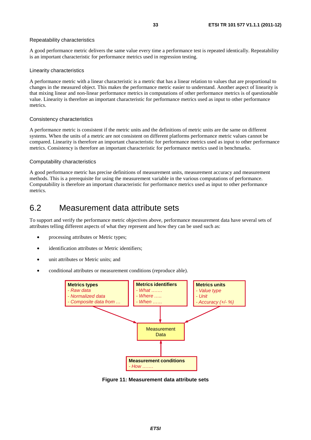#### Repeatability characteristics

A good performance metric delivers the same value every time a performance test is repeated identically. Repeatability is an important characteristic for performance metrics used in regression testing.

#### Linearity characteristics

A performance metric with a linear characteristic is a metric that has a linear relation to values that are proportional to changes in the measured object. This makes the performance metric easier to understand. Another aspect of linearity is that mixing linear and non-linear performance metrics in computations of other performance metrics is of questionable value. Linearity is therefore an important characteristic for performance metrics used as input to other performance metrics.

#### Consistency characteristics

A performance metric is consistent if the metric units and the definitions of metric units are the same on different systems. When the units of a metric are not consistent on different platforms performance metric values cannot be compared. Linearity is therefore an important characteristic for performance metrics used as input to other performance metrics. Consistency is therefore an important characteristic for performance metrics used in benchmarks.

### Computability characteristics

A good performance metric has precise definitions of measurement units, measurement accuracy and measurement methods. This is a prerequisite for using the measurement variable in the various computations of performance. Computability is therefore an important characteristic for performance metrics used as input to other performance metrics.

## 6.2 Measurement data attribute sets

To support and verify the performance metric objectives above, performance measurement data have several sets of attributes telling different aspects of what they represent and how they can be used such as:

- processing attributes or Metric types;
- identification attributes or Metric identifiers:
- unit attributes or Metric units; and
- conditional attributes or measurement conditions (reproduce able).



**Figure 11: Measurement data attribute sets**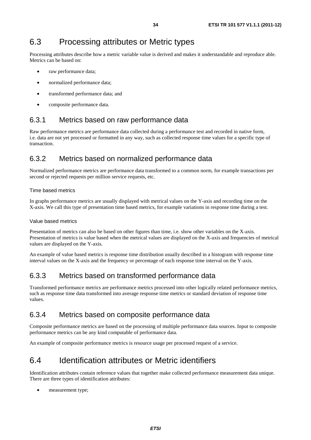## 6.3 Processing attributes or Metric types

Processing attributes describe how a metric variable value is derived and makes it understandable and reproduce able. Metrics can be based on:

- raw performance data;
- normalized performance data;
- transformed performance data; and
- composite performance data.

### 6.3.1 Metrics based on raw performance data

Raw performance metrics are performance data collected during a performance test and recorded in native form, i.e. data are not yet processed or formatted in any way, such as collected response time values for a specific type of transaction.

## 6.3.2 Metrics based on normalized performance data

Normalized performance metrics are performance data transformed to a common norm, for example transactions per second or rejected requests per million service requests, etc.

### Time based metrics

In graphs performance metrics are usually displayed with metrical values on the Y-axis and recording time on the X-axis. We call this type of presentation time based metrics, for example variations in response time during a test.

### Value based metrics

Presentation of metrics can also be based on other figures than time, i.e. show other variables on the X-axis. Presentation of metrics is value based when the metrical values are displayed on the X-axis and frequencies of metrical values are displayed on the Y-axis.

An example of value based metrics is response time distribution usually described in a histogram with response time interval values on the X-axis and the frequency or percentage of each response time interval on the Y-axis.

## 6.3.3 Metrics based on transformed performance data

Transformed performance metrics are performance metrics processed into other logically related performance metrics, such as response time data transformed into average response time metrics or standard deviation of response time values.

### 6.3.4 Metrics based on composite performance data

Composite performance metrics are based on the processing of multiple performance data sources. Input to composite performance metrics can be any kind computable of performance data.

An example of composite performance metrics is resource usage per processed request of a service.

## 6.4 Identification attributes or Metric identifiers

Identification attributes contain reference values that together make collected performance measurement data unique. There are three types of identification attributes:

measurement type;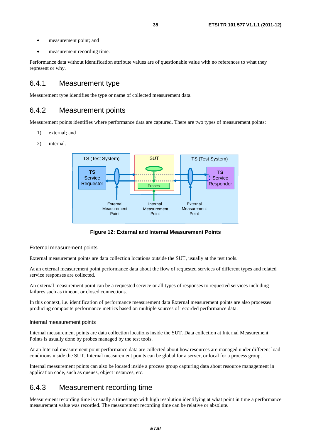- measurement point; and
- measurement recording time.

Performance data without identification attribute values are of questionable value with no references to what they represent or why.

### 6.4.1 Measurement type

Measurement type identifies the type or name of collected measurement data.

### 6.4.2 Measurement points

Measurement points identifies where performance data are captured. There are two types of measurement points:

- 1) external; and
- 2) internal.



**Figure 12: External and Internal Measurement Points** 

#### External measurement points

External measurement points are data collection locations outside the SUT, usually at the test tools.

At an external measurement point performance data about the flow of requested services of different types and related service responses are collected.

An external measurement point can be a requested service or all types of responses to requested services including failures such as timeout or closed connections.

In this context, i.e. identification of performance measurement data External measurement points are also processes producing composite performance metrics based on multiple sources of recorded performance data.

#### Internal measurement points

Internal measurement points are data collection locations inside the SUT. Data collection at Internal Measurement Points is usually done by probes managed by the test tools.

At an Internal measurement point performance data are collected about how resources are managed under different load conditions inside the SUT. Internal measurement points can be global for a server, or local for a process group.

Internal measurement points can also be located inside a process group capturing data about resource management in application code, such as queues, object instances, etc.

### 6.4.3 Measurement recording time

Measurement recording time is usually a timestamp with high resolution identifying at what point in time a performance measurement value was recorded. The measurement recording time can be relative or absolute.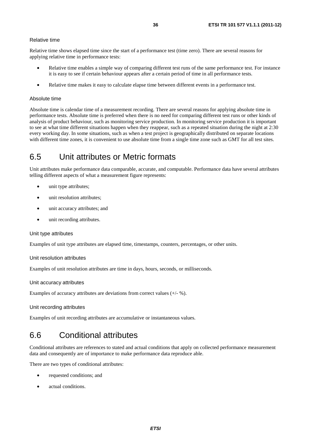### Relative time

Relative time shows elapsed time since the start of a performance test (time zero). There are several reasons for applying relative time in performance tests:

- Relative time enables a simple way of comparing different test runs of the same performance test. For instance it is easy to see if certain behaviour appears after a certain period of time in all performance tests.
- Relative time makes it easy to calculate elapse time between different events in a performance test.

#### Absolute time

Absolute time is calendar time of a measurement recording. There are several reasons for applying absolute time in performance tests. Absolute time is preferred when there is no need for comparing different test runs or other kinds of analysis of product behaviour, such as monitoring service production. In monitoring service production it is important to see at what time different situations happen when they reappear, such as a repeated situation during the night at 2:30 every working day. In some situations, such as when a test project is geographically distributed on separate locations with different time zones, it is convenient to use absolute time from a single time zone such as GMT for all test sites.

## 6.5 Unit attributes or Metric formats

Unit attributes make performance data comparable, accurate, and computable. Performance data have several attributes telling different aspects of what a measurement figure represents:

- unit type attributes;
- unit resolution attributes;
- unit accuracy attributes; and
- unit recording attributes.

#### Unit type attributes

Examples of unit type attributes are elapsed time, timestamps, counters, percentages, or other units.

#### Unit resolution attributes

Examples of unit resolution attributes are time in days, hours, seconds, or milliseconds.

#### Unit accuracy attributes

Examples of accuracy attributes are deviations from correct values (+/- %).

Unit recording attributes

Examples of unit recording attributes are accumulative or instantaneous values.

## 6.6 Conditional attributes

Conditional attributes are references to stated and actual conditions that apply on collected performance measurement data and consequently are of importance to make performance data reproduce able.

There are two types of conditional attributes:

- requested conditions; and
- actual conditions.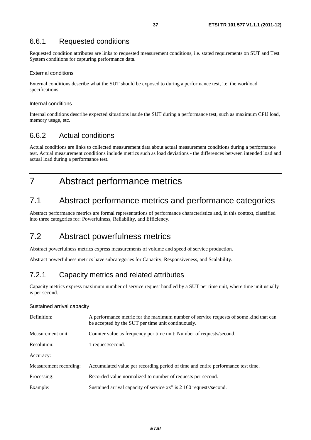## 6.6.1 Requested conditions

Requested condition attributes are links to requested measurement conditions, i.e. stated requirements on SUT and Test System conditions for capturing performance data.

### External conditions

External conditions describe what the SUT should be exposed to during a performance test, i.e. the workload specifications.

### Internal conditions

Internal conditions describe expected situations inside the SUT during a performance test, such as maximum CPU load, memory usage, etc.

## 6.6.2 Actual conditions

Actual conditions are links to collected measurement data about actual measurement conditions during a performance test. Actual measurement conditions include metrics such as load deviations - the differences between intended load and actual load during a performance test.

# 7 Abstract performance metrics

# 7.1 Abstract performance metrics and performance categories

Abstract performance metrics are formal representations of performance characteristics and, in this context, classified into three categories for: Powerfulness, Reliability, and Efficiency.

# 7.2 Abstract powerfulness metrics

Abstract powerfulness metrics express measurements of volume and speed of service production.

Abstract powerfulness metrics have subcategories for Capacity, Responsiveness, and Scalability.

## 7.2.1 Capacity metrics and related attributes

Capacity metrics express maximum number of service request handled by a SUT per time unit, where time unit usually is per second.

### Sustained arrival capacity

| Definition:            | A performance metric for the maximum number of service requests of some kind that can<br>be accepted by the SUT per time unit continuously. |
|------------------------|---------------------------------------------------------------------------------------------------------------------------------------------|
| Measurement unit:      | Counter value as frequency per time unit: Number of requests/second.                                                                        |
| Resolution:            | 1 request/second.                                                                                                                           |
| Accuracy:              |                                                                                                                                             |
| Measurement recording: | Accumulated value per recording period of time and entire performance test time.                                                            |
| Processing:            | Recorded value normalized to number of requests per second.                                                                                 |
| Example:               | Sustained arrival capacity of service xx" is 2 160 requests/second.                                                                         |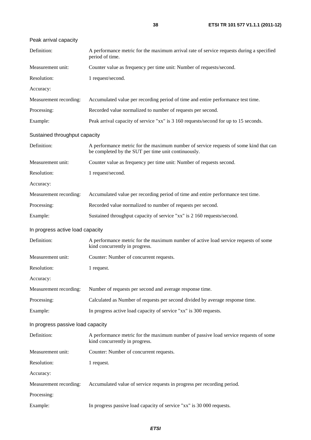| Peak arrival capacity             |                                                                                                                                              |
|-----------------------------------|----------------------------------------------------------------------------------------------------------------------------------------------|
| Definition:                       | A performance metric for the maximum arrival rate of service requests during a specified<br>period of time.                                  |
| Measurement unit:                 | Counter value as frequency per time unit: Number of requests/second.                                                                         |
| Resolution:                       | 1 request/second.                                                                                                                            |
| Accuracy:                         |                                                                                                                                              |
| Measurement recording:            | Accumulated value per recording period of time and entire performance test time.                                                             |
| Processing:                       | Recorded value normalized to number of requests per second.                                                                                  |
| Example:                          | Peak arrival capacity of service "xx" is 3 160 requests/second for up to 15 seconds.                                                         |
| Sustained throughput capacity     |                                                                                                                                              |
| Definition:                       | A performance metric for the maximum number of service requests of some kind that can<br>be completed by the SUT per time unit continuously. |
| Measurement unit:                 | Counter value as frequency per time unit: Number of requests second.                                                                         |
| Resolution:                       | 1 request/second.                                                                                                                            |
| Accuracy:                         |                                                                                                                                              |
| Measurement recording:            | Accumulated value per recording period of time and entire performance test time.                                                             |
| Processing:                       | Recorded value normalized to number of requests per second.                                                                                  |
| Example:                          | Sustained throughput capacity of service "xx" is 2 160 requests/second.                                                                      |
| In progress active load capacity  |                                                                                                                                              |
| Definition:                       | A performance metric for the maximum number of active load service requests of some<br>kind concurrently in progress.                        |
| Measurement unit:                 | Counter: Number of concurrent requests.                                                                                                      |
| Resolution:                       | 1 request.                                                                                                                                   |
| Accuracy:                         |                                                                                                                                              |
| Measurement recording:            | Number of requests per second and average response time.                                                                                     |
| Processing:                       | Calculated as Number of requests per second divided by average response time.                                                                |
| Example:                          | In progress active load capacity of service "xx" is 300 requests.                                                                            |
| In progress passive load capacity |                                                                                                                                              |
| Definition:                       | A performance metric for the maximum number of passive load service requests of some<br>kind concurrently in progress.                       |
| Measurement unit:                 | Counter: Number of concurrent requests.                                                                                                      |
| Resolution:                       | 1 request.                                                                                                                                   |
| Accuracy:                         |                                                                                                                                              |
| Measurement recording:            | Accumulated value of service requests in progress per recording period.                                                                      |
| Processing:                       |                                                                                                                                              |
| Example:                          | In progress passive load capacity of service "xx" is 30 000 requests.                                                                        |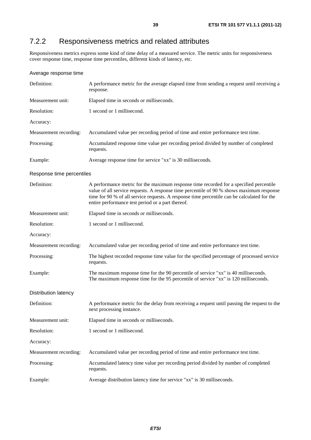# 7.2.2 Responsiveness metrics and related attributes

Responsiveness metrics express some kind of time delay of a measured service. The metric units for responsiveness cover response time, response time percentiles, different kinds of latency, etc.

### Average response time

| Definition:                 | A performance metric for the average elapsed time from sending a request until receiving a<br>response.                                                                                                                                                                                                                                |
|-----------------------------|----------------------------------------------------------------------------------------------------------------------------------------------------------------------------------------------------------------------------------------------------------------------------------------------------------------------------------------|
| Measurement unit:           | Elapsed time in seconds or milliseconds.                                                                                                                                                                                                                                                                                               |
| Resolution:                 | 1 second or 1 millisecond.                                                                                                                                                                                                                                                                                                             |
| Accuracy:                   |                                                                                                                                                                                                                                                                                                                                        |
| Measurement recording:      | Accumulated value per recording period of time and entire performance test time.                                                                                                                                                                                                                                                       |
| Processing:                 | Accumulated response time value per recording period divided by number of completed<br>requests.                                                                                                                                                                                                                                       |
| Example:                    | Average response time for service "xx" is 30 milliseconds.                                                                                                                                                                                                                                                                             |
| Response time percentiles   |                                                                                                                                                                                                                                                                                                                                        |
| Definition:                 | A performance metric for the maximum response time recorded for a specified percentile<br>value of all service requests. A response time percentile of 90 % shows maximum response<br>time for 90 % of all service requests. A response time percentile can be calculated for the<br>entire performance test period or a part thereof. |
| Measurement unit:           | Elapsed time in seconds or milliseconds.                                                                                                                                                                                                                                                                                               |
| Resolution:                 | 1 second or 1 millisecond.                                                                                                                                                                                                                                                                                                             |
| Accuracy:                   |                                                                                                                                                                                                                                                                                                                                        |
| Measurement recording:      | Accumulated value per recording period of time and entire performance test time.                                                                                                                                                                                                                                                       |
| Processing:                 | The highest recorded response time value for the specified percentage of processed service<br>requests.                                                                                                                                                                                                                                |
| Example:                    | The maximum response time for the 90 percentile of service "xx" is 40 milliseconds.<br>The maximum response time for the 95 percentile of service "xx" is 120 milliseconds.                                                                                                                                                            |
| <b>Distribution latency</b> |                                                                                                                                                                                                                                                                                                                                        |
| Definition:                 | A performance metric for the delay from receiving a request until passing the request to the<br>next processing instance.                                                                                                                                                                                                              |
| Measurement unit:           | Elapsed time in seconds or milliseconds.                                                                                                                                                                                                                                                                                               |
| Resolution:                 | 1 second or 1 millisecond.                                                                                                                                                                                                                                                                                                             |
| Accuracy:                   |                                                                                                                                                                                                                                                                                                                                        |
| Measurement recording:      | Accumulated value per recording period of time and entire performance test time.                                                                                                                                                                                                                                                       |
| Processing:                 | Accumulated latency time value per recording period divided by number of completed<br>requests.                                                                                                                                                                                                                                        |
| Example:                    | Average distribution latency time for service "xx" is 30 milliseconds.                                                                                                                                                                                                                                                                 |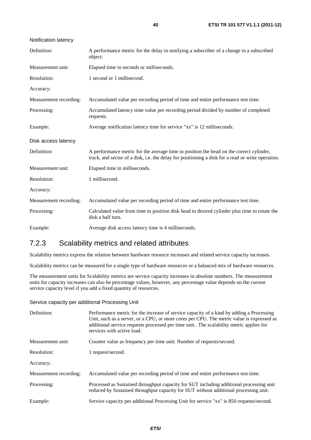| Notification latency   |                                                                                                                                                                                              |
|------------------------|----------------------------------------------------------------------------------------------------------------------------------------------------------------------------------------------|
| Definition:            | A performance metric for the delay in notifying a subscriber of a change in a subscribed<br>object.                                                                                          |
| Measurement unit:      | Elapsed time in seconds or milliseconds.                                                                                                                                                     |
| Resolution:            | 1 second or 1 millisecond.                                                                                                                                                                   |
| Accuracy:              |                                                                                                                                                                                              |
| Measurement recording: | Accumulated value per recording period of time and entire performance test time.                                                                                                             |
| Processing:            | Accumulated latency time value per recording period divided by number of completed<br>requests.                                                                                              |
| Example:               | Average notification latency time for service "xx" is 12 milliseconds.                                                                                                                       |
| Disk access latency    |                                                                                                                                                                                              |
| Definition:            | A performance metric for the average time to position the head on the correct cylinder,<br>track, and sector of a disk, i.e. the delay for positioning a disk for a read or write operation. |
| Measurement unit:      | Elapsed time in milliseconds.                                                                                                                                                                |
| Resolution:            | 1 millisecond.                                                                                                                                                                               |
| Accuracy:              |                                                                                                                                                                                              |
| Measurement recording: | Accumulated value per recording period of time and entire performance test time.                                                                                                             |
| Processing:            | Calculated value from time to position disk head to desired cylinder plus time to rotate the<br>disk a half turn.                                                                            |
| Example:               | Average disk access latency time is 4 milliseconds.                                                                                                                                          |

## 7.2.3 Scalability metrics and related attributes

Scalability metrics express the relation between hardware resource increases and related service capacity increases.

Scalability metrics can be measured for a single type of hardware resources or a balanced mix of hardware resources.

The measurement units for Scalability metrics are service capacity increases in absolute numbers. The measurement units for capacity increases can also be percentage values, however, any percentage value depends on the current service capacity level if you add a fixed quantity of resources.

Service capacity per additional Processing Unit

| Definition:            | Performance metric for the increase of service capacity of a kind by adding a Processing<br>Unit, such as a server, or a CPU, or more cores per CPU. The metric value is expressed as<br>additional service requests processed per time unit The scalability metric applies for<br>services with active load. |
|------------------------|---------------------------------------------------------------------------------------------------------------------------------------------------------------------------------------------------------------------------------------------------------------------------------------------------------------|
| Measurement unit:      | Counter value as frequency per time unit: Number of requests/second.                                                                                                                                                                                                                                          |
| Resolution:            | 1 request/second.                                                                                                                                                                                                                                                                                             |
| Accuracy:              |                                                                                                                                                                                                                                                                                                               |
| Measurement recording: | Accumulated value per recording period of time and entire performance test time.                                                                                                                                                                                                                              |
| Processing:            | Processed as Sustained throughput capacity for SUT including additional processing unit<br>reduced by Sustained throughput capacity for SUT without additional processing unit.                                                                                                                               |
| Example:               | Service capacity per additional Processing Unit for service "xx" is 850 requests/second.                                                                                                                                                                                                                      |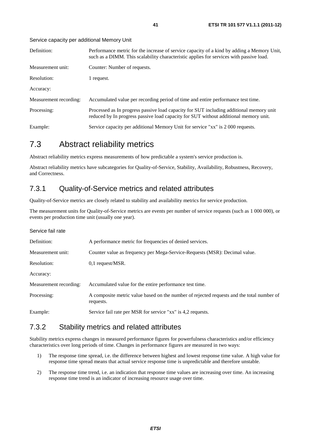Service capacity per additional Memory Unit

| Definition:            | Performance metric for the increase of service capacity of a kind by adding a Memory Unit,<br>such as a DIMM. This scalability characteristic applies for services with passive load. |
|------------------------|---------------------------------------------------------------------------------------------------------------------------------------------------------------------------------------|
| Measurement unit:      | Counter: Number of requests.                                                                                                                                                          |
| Resolution:            | 1 request.                                                                                                                                                                            |
| Accuracy:              |                                                                                                                                                                                       |
| Measurement recording: | Accumulated value per recording period of time and entire performance test time.                                                                                                      |
| Processing:            | Processed as In progress passive load capacity for SUT including additional memory unit<br>reduced by In progress passive load capacity for SUT without additional memory unit.       |
| Example:               | Service capacity per additional Memory Unit for service "xx" is 2 000 requests.                                                                                                       |

# 7.3 Abstract reliability metrics

Abstract reliability metrics express measurements of how predictable a system's service production is.

Abstract reliability metrics have subcategories for Quality-of-Service, Stability, Availability, Robustness, Recovery, and Correctness.

## 7.3.1 Quality-of-Service metrics and related attributes

Quality-of-Service metrics are closely related to stability and availability metrics for service production.

The measurement units for Quality-of-Service metrics are events per number of service requests (such as 1 000 000), or events per production time unit (usually one year).

| Service fail rate      |                                                                                                        |
|------------------------|--------------------------------------------------------------------------------------------------------|
| Definition:            | A performance metric for frequencies of denied services.                                               |
| Measurement unit:      | Counter value as frequency per Mega-Service-Requests (MSR): Decimal value.                             |
| Resolution:            | $0,1$ request/MSR.                                                                                     |
| Accuracy:              |                                                                                                        |
| Measurement recording: | Accumulated value for the entire performance test time.                                                |
| Processing:            | A composite metric value based on the number of rejected requests and the total number of<br>requests. |
| Example:               | Service fail rate per MSR for service "xx" is 4,2 requests.                                            |

## 7.3.2 Stability metrics and related attributes

Stability metrics express changes in measured performance figures for powerfulness characteristics and/or efficiency characteristics over long periods of time. Changes in performance figures are measured in two ways:

- 1) The response time spread, i.e. the difference between highest and lowest response time value. A high value for response time spread means that actual service response time is unpredictable and therefore unstable.
- 2) The response time trend, i.e. an indication that response time values are increasing over time. An increasing response time trend is an indicator of increasing resource usage over time.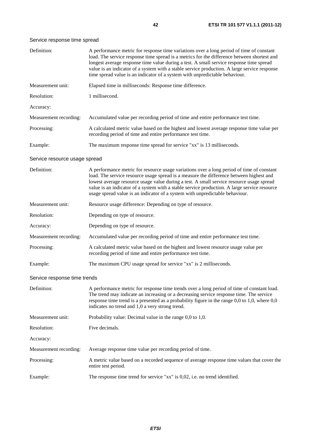### Service response time spread

| Definition:                   | A performance metric for response time variations over a long period of time of constant<br>load. The service response time spread is a metrics for the difference between shortest and<br>longest average response time value during a test. A small service response time spread<br>value is an indicator of a system with a stable service production. A large service response<br>time spread value is an indicator of a system with unpredictable behaviour. |
|-------------------------------|-------------------------------------------------------------------------------------------------------------------------------------------------------------------------------------------------------------------------------------------------------------------------------------------------------------------------------------------------------------------------------------------------------------------------------------------------------------------|
| Measurement unit:             | Elapsed time in milliseconds: Response time difference.                                                                                                                                                                                                                                                                                                                                                                                                           |
| Resolution:                   | 1 millisecond.                                                                                                                                                                                                                                                                                                                                                                                                                                                    |
| Accuracy:                     |                                                                                                                                                                                                                                                                                                                                                                                                                                                                   |
| Measurement recording:        | Accumulated value per recording period of time and entire performance test time.                                                                                                                                                                                                                                                                                                                                                                                  |
| Processing:                   | A calculated metric value based on the highest and lowest average response time value per<br>recording period of time and entire performance test time.                                                                                                                                                                                                                                                                                                           |
| Example:                      | The maximum response time spread for service "xx" is 13 milliseconds.                                                                                                                                                                                                                                                                                                                                                                                             |
| Service resource usage spread |                                                                                                                                                                                                                                                                                                                                                                                                                                                                   |
| Definition:                   | A performance metric for resource usage variations over a long period of time of constant<br>load. The service resource usage spread is a measure the difference between highest and<br>lowest average resource usage value during a test. A small service resource usage spread<br>value is an indicator of a system with a stable service production. A large service resource<br>usage spread value is an indicator of a system with unpredictable behaviour.  |
| Measurement unit:             | Resource usage difference: Depending on type of resource.                                                                                                                                                                                                                                                                                                                                                                                                         |
| Resolution:                   | Depending on type of resource.                                                                                                                                                                                                                                                                                                                                                                                                                                    |
| Accuracy:                     | Depending on type of resource.                                                                                                                                                                                                                                                                                                                                                                                                                                    |
| Measurement recording:        | Accumulated value per recording period of time and entire performance test time.                                                                                                                                                                                                                                                                                                                                                                                  |
| Processing:                   | A calculated metric value based on the highest and lowest resource usage value per<br>recording period of time and entire performance test time.                                                                                                                                                                                                                                                                                                                  |
| Example:                      | The maximum CPU usage spread for service "xx" is 2 milliseconds.                                                                                                                                                                                                                                                                                                                                                                                                  |
| Service response time trends  |                                                                                                                                                                                                                                                                                                                                                                                                                                                                   |
| Definition:                   | A performance metric for response time trends over a long period of time of constant load.<br>The trend may indicate an increasing or a decreasing service response time. The service<br>response time trend is a presented as a probability figure in the range $0,0$ to 1,0, where $0,0$<br>indicates no trend and 1,0 a very strong trend.                                                                                                                     |
| Measurement unit:             | Probability value: Decimal value in the range 0,0 to 1,0.                                                                                                                                                                                                                                                                                                                                                                                                         |
| Resolution:                   | Five decimals.                                                                                                                                                                                                                                                                                                                                                                                                                                                    |
| Accuracy:                     |                                                                                                                                                                                                                                                                                                                                                                                                                                                                   |
| Measurement recording:        | Average response time value per recording period of time.                                                                                                                                                                                                                                                                                                                                                                                                         |
| Processing:                   | A metric value based on a recorded sequence of average response time values that cover the<br>entire test period.                                                                                                                                                                                                                                                                                                                                                 |
| Example:                      | The response time trend for service " $xx$ " is $0,02$ , i.e. no trend identified.                                                                                                                                                                                                                                                                                                                                                                                |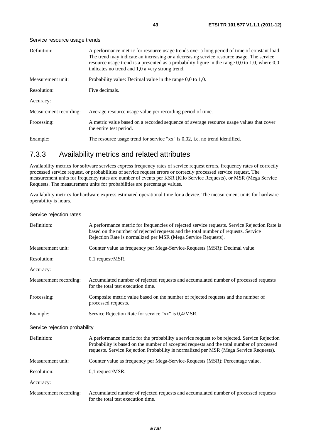### Service resource usage trends

| Definition:            | A performance metric for resource usage trends over a long period of time of constant load.<br>The trend may indicate an increasing or a decreasing service resource usage. The service<br>resource usage trend is a presented as a probability figure in the range 0,0 to 1,0, where 0,0<br>indicates no trend and 1,0 a very strong trend. |
|------------------------|----------------------------------------------------------------------------------------------------------------------------------------------------------------------------------------------------------------------------------------------------------------------------------------------------------------------------------------------|
| Measurement unit:      | Probability value: Decimal value in the range $0.0$ to $1.0$ .                                                                                                                                                                                                                                                                               |
| Resolution:            | Five decimals.                                                                                                                                                                                                                                                                                                                               |
| Accuracy:              |                                                                                                                                                                                                                                                                                                                                              |
| Measurement recording: | Average resource usage value per recording period of time.                                                                                                                                                                                                                                                                                   |
| Processing:            | A metric value based on a recorded sequence of average resource usage values that cover<br>the entire test period.                                                                                                                                                                                                                           |
| Example:               | The resource usage trend for service " $xx$ " is 0,02, i.e. no trend identified.                                                                                                                                                                                                                                                             |

## 7.3.3 Availability metrics and related attributes

Availability metrics for software services express frequency rates of service request errors, frequency rates of correctly processed service request, or probabilities of service request errors or correctly processed service request. The measurement units for frequency rates are number of events per KSR (Kilo Service Requests), or MSR (Mega Service Requests. The measurement units for probabilities are percentage values.

Availability metrics for hardware express estimated operational time for a device. The measurement units for hardware operability is hours.

Service rejection rates

| Definition:                   | A performance metric for frequencies of rejected service requests. Service Rejection Rate is<br>based on the number of rejected requests and the total number of requests. Service<br>Rejection Rate is normalized per MSR (Mega Service Requests).                                 |
|-------------------------------|-------------------------------------------------------------------------------------------------------------------------------------------------------------------------------------------------------------------------------------------------------------------------------------|
| Measurement unit:             | Counter value as frequency per Mega-Service-Requests (MSR): Decimal value.                                                                                                                                                                                                          |
| Resolution:                   | 0,1 request/MSR.                                                                                                                                                                                                                                                                    |
| Accuracy:                     |                                                                                                                                                                                                                                                                                     |
| Measurement recording:        | Accumulated number of rejected requests and accumulated number of processed requests<br>for the total test execution time.                                                                                                                                                          |
| Processing:                   | Composite metric value based on the number of rejected requests and the number of<br>processed requests.                                                                                                                                                                            |
| Example:                      | Service Rejection Rate for service "xx" is 0,4/MSR.                                                                                                                                                                                                                                 |
| Service rejection probability |                                                                                                                                                                                                                                                                                     |
| Definition:                   | A performance metric for the probability a service request to be rejected. Service Rejection<br>Probability is based on the number of accepted requests and the total number of processed<br>requests. Service Rejection Probability is normalized per MSR (Mega Service Requests). |
| Measurement unit:             | Counter value as frequency per Mega-Service-Requests (MSR): Percentage value.                                                                                                                                                                                                       |
| Resolution:                   | 0,1 request/MSR.                                                                                                                                                                                                                                                                    |
| Accuracy:                     |                                                                                                                                                                                                                                                                                     |
| Measurement recording:        | Accumulated number of rejected requests and accumulated number of processed requests<br>for the total test execution time.                                                                                                                                                          |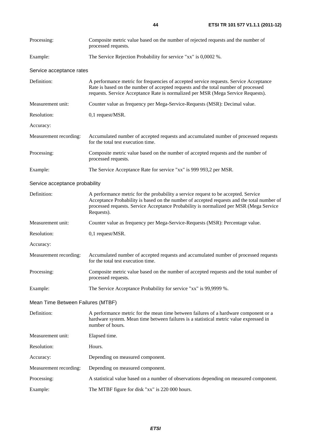| Processing:                       | Composite metric value based on the number of rejected requests and the number of<br>processed requests.                                                                                                                                                                                 |
|-----------------------------------|------------------------------------------------------------------------------------------------------------------------------------------------------------------------------------------------------------------------------------------------------------------------------------------|
| Example:                          | The Service Rejection Probability for service "xx" is 0,0002 %.                                                                                                                                                                                                                          |
| Service acceptance rates          |                                                                                                                                                                                                                                                                                          |
| Definition:                       | A performance metric for frequencies of accepted service requests. Service Acceptance<br>Rate is based on the number of accepted requests and the total number of processed<br>requests. Service Acceptance Rate is normalized per MSR (Mega Service Requests).                          |
| Measurement unit:                 | Counter value as frequency per Mega-Service-Requests (MSR): Decimal value.                                                                                                                                                                                                               |
| Resolution:                       | 0,1 request/MSR.                                                                                                                                                                                                                                                                         |
| Accuracy:                         |                                                                                                                                                                                                                                                                                          |
| Measurement recording:            | Accumulated number of accepted requests and accumulated number of processed requests<br>for the total test execution time.                                                                                                                                                               |
| Processing:                       | Composite metric value based on the number of accepted requests and the number of<br>processed requests.                                                                                                                                                                                 |
| Example:                          | The Service Acceptance Rate for service "xx" is 999 993,2 per MSR.                                                                                                                                                                                                                       |
| Service acceptance probability    |                                                                                                                                                                                                                                                                                          |
| Definition:                       | A performance metric for the probability a service request to be accepted. Service<br>Acceptance Probability is based on the number of accepted requests and the total number of<br>processed requests. Service Acceptance Probability is normalized per MSR (Mega Service<br>Requests). |
| Measurement unit:                 | Counter value as frequency per Mega-Service-Requests (MSR): Percentage value.                                                                                                                                                                                                            |
| Resolution:                       | 0,1 request/MSR.                                                                                                                                                                                                                                                                         |
| Accuracy:                         |                                                                                                                                                                                                                                                                                          |
| Measurement recording:            | Accumulated number of accepted requests and accumulated number of processed requests<br>for the total test execution time.                                                                                                                                                               |
| Processing:                       | Composite metric value based on the number of accepted requests and the total number of<br>processed requests.                                                                                                                                                                           |
| Example:                          | The Service Acceptance Probability for service "xx" is 99,9999 %.                                                                                                                                                                                                                        |
| Mean Time Between Failures (MTBF) |                                                                                                                                                                                                                                                                                          |
| Definition:                       | A performance metric for the mean time between failures of a hardware component or a<br>hardware system. Mean time between failures is a statistical metric value expressed in<br>number of hours.                                                                                       |
| Measurement unit:                 | Elapsed time.                                                                                                                                                                                                                                                                            |
| Resolution:                       | Hours.                                                                                                                                                                                                                                                                                   |
| Accuracy:                         | Depending on measured component.                                                                                                                                                                                                                                                         |
| Measurement recording:            | Depending on measured component.                                                                                                                                                                                                                                                         |
| Processing:                       | A statistical value based on a number of observations depending on measured component.                                                                                                                                                                                                   |
| Example:                          | The MTBF figure for disk "xx" is 220 000 hours.                                                                                                                                                                                                                                          |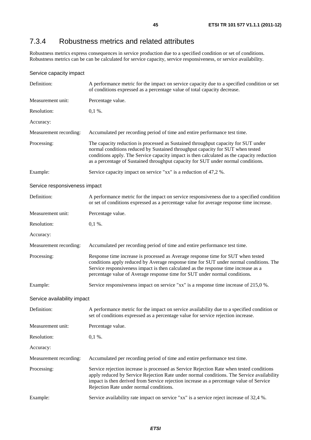# 7.3.4 Robustness metrics and related attributes

Robustness metrics express consequences in service production due to a specified condition or set of conditions. Robustness metrics can be can be calculated for service capacity, service responsiveness, or service availability.

| Service capacity impact       |                                                                                                                                                                                                                                                                                                                                                         |
|-------------------------------|---------------------------------------------------------------------------------------------------------------------------------------------------------------------------------------------------------------------------------------------------------------------------------------------------------------------------------------------------------|
| Definition:                   | A performance metric for the impact on service capacity due to a specified condition or set<br>of conditions expressed as a percentage value of total capacity decrease.                                                                                                                                                                                |
| Measurement unit:             | Percentage value.                                                                                                                                                                                                                                                                                                                                       |
| Resolution:                   | $0,1\%$ .                                                                                                                                                                                                                                                                                                                                               |
| Accuracy:                     |                                                                                                                                                                                                                                                                                                                                                         |
| Measurement recording:        | Accumulated per recording period of time and entire performance test time.                                                                                                                                                                                                                                                                              |
| Processing:                   | The capacity reduction is processed as Sustained throughput capacity for SUT under<br>normal conditions reduced by Sustained throughput capacity for SUT when tested<br>conditions apply. The Service capacity impact is then calculated as the capacity reduction<br>as a percentage of Sustained throughput capacity for SUT under normal conditions. |
| Example:                      | Service capacity impact on service "xx" is a reduction of 47,2 %.                                                                                                                                                                                                                                                                                       |
| Service responsiveness impact |                                                                                                                                                                                                                                                                                                                                                         |
| Definition:                   | A performance metric for the impact on service responsiveness due to a specified condition<br>or set of conditions expressed as a percentage value for average response time increase.                                                                                                                                                                  |
| Measurement unit:             | Percentage value.                                                                                                                                                                                                                                                                                                                                       |
| Resolution:                   | $0,1\%$ .                                                                                                                                                                                                                                                                                                                                               |
| Accuracy:                     |                                                                                                                                                                                                                                                                                                                                                         |
| Measurement recording:        | Accumulated per recording period of time and entire performance test time.                                                                                                                                                                                                                                                                              |
| Processing:                   | Response time increase is processed as Average response time for SUT when tested<br>conditions apply reduced by Average response time for SUT under normal conditions. The<br>Service responsiveness impact is then calculated as the response time increase as a<br>percentage value of Average response time for SUT under normal conditions.         |
| Example:                      | Service responsiveness impact on service "xx" is a response time increase of 215,0 %.                                                                                                                                                                                                                                                                   |
| Service availability impact   |                                                                                                                                                                                                                                                                                                                                                         |
| Definition:                   | A performance metric for the impact on service availability due to a specified condition or<br>set of conditions expressed as a percentage value for service rejection increase.                                                                                                                                                                        |
| Measurement unit:             | Percentage value.                                                                                                                                                                                                                                                                                                                                       |
| Resolution:                   | $0,1\%$ .                                                                                                                                                                                                                                                                                                                                               |
| Accuracy:                     |                                                                                                                                                                                                                                                                                                                                                         |
| Measurement recording:        | Accumulated per recording period of time and entire performance test time.                                                                                                                                                                                                                                                                              |
| Processing:                   | Service rejection increase is processed as Service Rejection Rate when tested conditions<br>apply reduced by Service Rejection Rate under normal conditions. The Service availability<br>impact is then derived from Service rejection increase as a percentage value of Service<br>Rejection Rate under normal conditions.                             |
| Example:                      | Service availability rate impact on service "xx" is a service reject increase of 32,4 %.                                                                                                                                                                                                                                                                |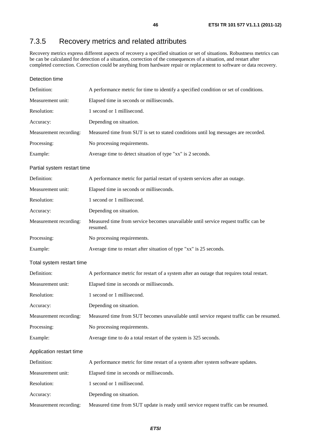# 7.3.5 Recovery metrics and related attributes

Recovery metrics express different aspects of recovery a specified situation or set of situations. Robustness metrics can be can be calculated for detection of a situation, correction of the consequences of a situation, and restart after completed correction. Correction could be anything from hardware repair or replacement to software or data recovery.

### Detection time

| Definition:                 | A performance metric for time to identify a specified condition or set of conditions. |
|-----------------------------|---------------------------------------------------------------------------------------|
| Measurement unit:           | Elapsed time in seconds or milliseconds.                                              |
| Resolution:                 | 1 second or 1 millisecond.                                                            |
| Accuracy:                   | Depending on situation.                                                               |
| Measurement recording:      | Measured time from SUT is set to stated conditions until log messages are recorded.   |
| Processing:                 | No processing requirements.                                                           |
| Example:                    | Average time to detect situation of type "xx" is 2 seconds.                           |
| Partial system restart time |                                                                                       |

| Definition:            | A performance metric for partial restart of system services after an outage.                    |
|------------------------|-------------------------------------------------------------------------------------------------|
| Measurement unit:      | Elapsed time in seconds or milliseconds.                                                        |
| Resolution:            | 1 second or 1 millisecond.                                                                      |
| Accuracy:              | Depending on situation.                                                                         |
| Measurement recording: | Measured time from service becomes unavailable until service request traffic can be<br>resumed. |
| Processing:            | No processing requirements.                                                                     |
| Example:               | Average time to restart after situation of type "xx" is 25 seconds.                             |
|                        |                                                                                                 |

### Total system restart time

| Definition:              | A performance metric for restart of a system after an outage that requires total restart. |
|--------------------------|-------------------------------------------------------------------------------------------|
| Measurement unit:        | Elapsed time in seconds or milliseconds.                                                  |
| Resolution:              | 1 second or 1 millisecond.                                                                |
| Accuracy:                | Depending on situation.                                                                   |
| Measurement recording:   | Measured time from SUT becomes unavailable until service request traffic can be resumed.  |
| Processing:              | No processing requirements.                                                               |
| Example:                 | Average time to do a total restart of the system is 325 seconds.                          |
| Application restart time |                                                                                           |
| Definition:              | A performance metric for time restart of a system after system software updates.          |
| Measurement unit:        | Elapsed time in seconds or milliseconds.                                                  |
| Resolution:              | 1 second or 1 millisecond.                                                                |
| Accuracy:                | Depending on situation.                                                                   |

Measurement recording: Measured time from SUT update is ready until service request traffic can be resumed.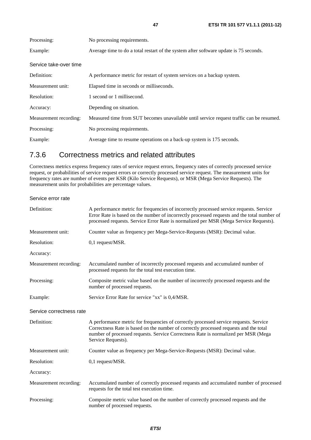| Processing:            | No processing requirements.                                                              |
|------------------------|------------------------------------------------------------------------------------------|
| Example:               | Average time to do a total restart of the system after software update is 75 seconds.    |
| Service take-over time |                                                                                          |
| Definition:            | A performance metric for restart of system services on a backup system.                  |
| Measurement unit:      | Elapsed time in seconds or milliseconds.                                                 |
| Resolution:            | 1 second or 1 millisecond.                                                               |
| Accuracy:              | Depending on situation.                                                                  |
| Measurement recording: | Measured time from SUT becomes unavailable until service request traffic can be resumed. |
| Processing:            | No processing requirements.                                                              |
| Example:               | Average time to resume operations on a back-up system is 175 seconds.                    |

# 7.3.6 Correctness metrics and related attributes

Correctness metrics express frequency rates of service request errors, frequency rates of correctly processed service request, or probabilities of service request errors or correctly processed service request. The measurement units for frequency rates are number of events per KSR (Kilo Service Requests), or MSR (Mega Service Requests). The measurement units for probabilities are percentage values.

Service error rate

| Definition:              | A performance metric for frequencies of incorrectly processed service requests. Service<br>Error Rate is based on the number of incorrectly processed requests and the total number of<br>processed requests. Service Error Rate is normalized per MSR (Mega Service Requests).            |
|--------------------------|--------------------------------------------------------------------------------------------------------------------------------------------------------------------------------------------------------------------------------------------------------------------------------------------|
| Measurement unit:        | Counter value as frequency per Mega-Service-Requests (MSR): Decimal value.                                                                                                                                                                                                                 |
| Resolution:              | 0,1 request/MSR.                                                                                                                                                                                                                                                                           |
| Accuracy:                |                                                                                                                                                                                                                                                                                            |
| Measurement recording:   | Accumulated number of incorrectly processed requests and accumulated number of<br>processed requests for the total test execution time.                                                                                                                                                    |
| Processing:              | Composite metric value based on the number of incorrectly processed requests and the<br>number of processed requests.                                                                                                                                                                      |
| Example:                 | Service Error Rate for service "xx" is 0,4/MSR.                                                                                                                                                                                                                                            |
| Service correctness rate |                                                                                                                                                                                                                                                                                            |
| Definition:              | A performance metric for frequencies of correctly processed service requests. Service<br>Correctness Rate is based on the number of correctly processed requests and the total<br>number of processed requests. Service Correctness Rate is normalized per MSR (Mega<br>Service Requests). |
| Measurement unit:        | Counter value as frequency per Mega-Service-Requests (MSR): Decimal value.                                                                                                                                                                                                                 |
| Resolution:              | 0,1 request/MSR.                                                                                                                                                                                                                                                                           |
| Accuracy:                |                                                                                                                                                                                                                                                                                            |
| Measurement recording:   | Accumulated number of correctly processed requests and accumulated number of processed<br>requests for the total test execution time.                                                                                                                                                      |
| Processing:              | Composite metric value based on the number of correctly processed requests and the<br>number of processed requests.                                                                                                                                                                        |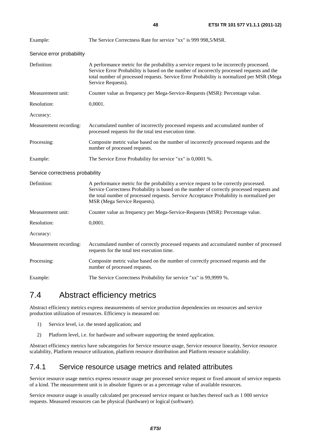| ×<br>I<br>v.<br>۰, |
|--------------------|

| Example:                        | The Service Correctness Rate for service "xx" is 999 998,5/MSR.                                                                                                                                                                                                                                                 |
|---------------------------------|-----------------------------------------------------------------------------------------------------------------------------------------------------------------------------------------------------------------------------------------------------------------------------------------------------------------|
| Service error probability       |                                                                                                                                                                                                                                                                                                                 |
| Definition:                     | A performance metric for the probability a service request to be incorrectly processed.<br>Service Error Probability is based on the number of incorrectly processed requests and the<br>total number of processed requests. Service Error Probability is normalized per MSR (Mega<br>Service Requests).        |
| Measurement unit:               | Counter value as frequency per Mega-Service-Requests (MSR): Percentage value.                                                                                                                                                                                                                                   |
| Resolution:                     | 0,0001.                                                                                                                                                                                                                                                                                                         |
| Accuracy:                       |                                                                                                                                                                                                                                                                                                                 |
| Measurement recording:          | Accumulated number of incorrectly processed requests and accumulated number of<br>processed requests for the total test execution time.                                                                                                                                                                         |
| Processing:                     | Composite metric value based on the number of incorrectly processed requests and the<br>number of processed requests.                                                                                                                                                                                           |
| Example:                        | The Service Error Probability for service "xx" is 0,0001 %.                                                                                                                                                                                                                                                     |
| Service correctness probability |                                                                                                                                                                                                                                                                                                                 |
| Definition:                     | A performance metric for the probability a service request to be correctly processed.<br>Service Correctness Probability is based on the number of correctly processed requests and<br>the total number of processed requests. Service Acceptance Probability is normalized per<br>MSR (Mega Service Requests). |
| Measurement unit:               | Counter value as frequency per Mega-Service-Requests (MSR): Percentage value.                                                                                                                                                                                                                                   |
| Resolution:                     | 0,0001.                                                                                                                                                                                                                                                                                                         |
| Accuracy:                       |                                                                                                                                                                                                                                                                                                                 |
| Measurement recording:          | Accumulated number of correctly processed requests and accumulated number of processed<br>requests for the total test execution time.                                                                                                                                                                           |
| Processing:                     | Composite metric value based on the number of correctly processed requests and the<br>number of processed requests.                                                                                                                                                                                             |
| Example:                        | The Service Correctness Probability for service "xx" is 99,9999 %.                                                                                                                                                                                                                                              |

# 7.4 Abstract efficiency metrics

Abstract efficiency metrics express measurements of service production dependencies on resources and service production utilization of resources. Efficiency is measured on:

- 1) Service level, i.e. the tested application; and
- 2) Platform level, i.e. for hardware and software supporting the tested application.

Abstract efficiency metrics have subcategories for Service resource usage, Service resource linearity, Service resource scalability, Platform resource utilization, platform resource distribution and Platform resource scalability.

# 7.4.1 Service resource usage metrics and related attributes

Service resource usage metrics express resource usage per processed service request or fixed amount of service requests of a kind. The measurement unit is in absolute figures or as a percentage value of available resources.

Service resource usage is usually calculated per processed service request or batches thereof such as 1 000 service requests. Measured resources can be physical (hardware) or logical (software).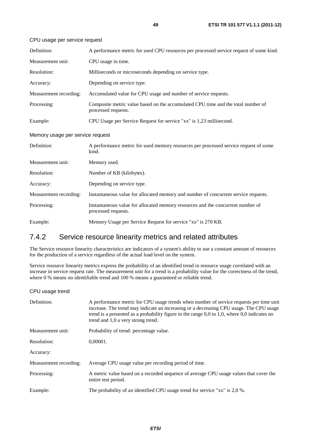| Definition:                      | A performance metric for used CPU resources per processed service request of some kind.                 |
|----------------------------------|---------------------------------------------------------------------------------------------------------|
| Measurement unit:                | CPU usage in time.                                                                                      |
| Resolution:                      | Milliseconds or microseconds depending on service type.                                                 |
| Accuracy:                        | Depending on service type.                                                                              |
| Measurement recording:           | Accumulated value for CPU usage and number of service requests.                                         |
| Processing:                      | Composite metric value based on the accumulated CPU time and the total number of<br>processed requests. |
| Example:                         | CPU Usage per Service Request for service "xx" is 1,23 millisecond.                                     |
| Memory usage per service request |                                                                                                         |
| Definition:                      | A performance metric for used memory resources per processed service request of some<br>kind.           |
| Measurement unit:                | Memory used.                                                                                            |
| Resolution:                      | Number of KB (kilobytes).                                                                               |
| Accuracy:                        | Depending on service type.                                                                              |
| Measurement recording:           | Instantaneous value for allocated memory and number of concurrent service requests.                     |
| Processing:                      | Instantaneous value for allocated memory resources and the concurrent number of<br>processed requests.  |
| Example:                         | Memory Usage per Service Request for service "xx" is 270 KB.                                            |

### CPU usage per service request

## 7.4.2 Service resource linearity metrics and related attributes

The Service resource linearity characteristics are indicators of a system's ability to use a constant amount of resources for the production of a service regardless of the actual load level on the system.

Service resource linearity metrics express the probability of an identified trend in resource usage correlated with an increase in service request rate. The measurement unit for a trend is a probability value for the correctness of the trend, where 0 % means no identifiable trend and 100 % means a guaranteed or reliable trend.

### CPU usage trend

| Definition:            | A performance metric for CPU usage trends when number of service requests per time unit<br>increase. The trend may indicate an increasing or a decreasing CPU usage. The CPU usage<br>trend is a presented as a probability figure in the range $0,0$ to $1,0$ , where $0,0$ indicates no<br>trend and 1,0 a very strong trend. |
|------------------------|---------------------------------------------------------------------------------------------------------------------------------------------------------------------------------------------------------------------------------------------------------------------------------------------------------------------------------|
| Measurement unit:      | Probability of trend: percentage value.                                                                                                                                                                                                                                                                                         |
| Resolution:            | 0.00001.                                                                                                                                                                                                                                                                                                                        |
| Accuracy:              |                                                                                                                                                                                                                                                                                                                                 |
| Measurement recording: | Average CPU usage value per recording period of time.                                                                                                                                                                                                                                                                           |
| Processing:            | A metric value based on a recorded sequence of average CPU usage values that cover the<br>entire test period.                                                                                                                                                                                                                   |
| Example:               | The probability of an identified CPU usage trend for service "xx" is 2,0 %.                                                                                                                                                                                                                                                     |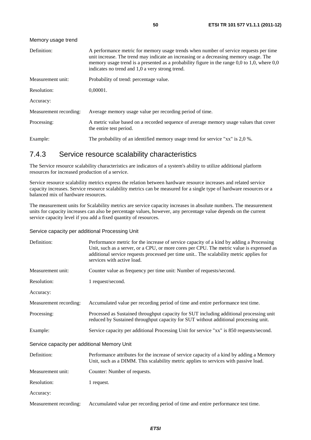| Definition:            | A performance metric for memory usage trends when number of service requests per time<br>unit increase. The trend may indicate an increasing or a decreasing memory usage. The<br>memory usage trend is a presented as a probability figure in the range $0,0$ to 1,0, where $0,0$<br>indicates no trend and 1,0 a very strong trend. |
|------------------------|---------------------------------------------------------------------------------------------------------------------------------------------------------------------------------------------------------------------------------------------------------------------------------------------------------------------------------------|
| Measurement unit:      | Probability of trend: percentage value.                                                                                                                                                                                                                                                                                               |
| Resolution:            | 0.00001.                                                                                                                                                                                                                                                                                                                              |
| Accuracy:              |                                                                                                                                                                                                                                                                                                                                       |
| Measurement recording: | Average memory usage value per recording period of time.                                                                                                                                                                                                                                                                              |
| Processing:            | A metric value based on a recorded sequence of average memory usage values that cover<br>the entire test period.                                                                                                                                                                                                                      |
| Example:               | The probability of an identified memory usage trend for service "xx" is 2,0 %.                                                                                                                                                                                                                                                        |
|                        |                                                                                                                                                                                                                                                                                                                                       |

## 7.4.3 Service resource scalability characteristics

The Service resource scalability characteristics are indicators of a system's ability to utilize additional platform resources for increased production of a service.

Service resource scalability metrics express the relation between hardware resource increases and related service capacity increases. Service resource scalability metrics can be measured for a single type of hardware resources or a balanced mix of hardware resources.

The measurement units for Scalability metrics are service capacity increases in absolute numbers. The measurement units for capacity increases can also be percentage values, however, any percentage value depends on the current service capacity level if you add a fixed quantity of resources.

### Service capacity per additional Processing Unit

Memory usage trend

| Definition:                                 | Performance metric for the increase of service capacity of a kind by adding a Processing<br>Unit, such as a server, or a CPU, or more cores per CPU. The metric value is expressed as<br>additional service requests processed per time unit The scalability metric applies for<br>services with active load. |
|---------------------------------------------|---------------------------------------------------------------------------------------------------------------------------------------------------------------------------------------------------------------------------------------------------------------------------------------------------------------|
| Measurement unit:                           | Counter value as frequency per time unit: Number of requests/second.                                                                                                                                                                                                                                          |
| Resolution:                                 | 1 request/second.                                                                                                                                                                                                                                                                                             |
| Accuracy:                                   |                                                                                                                                                                                                                                                                                                               |
| Measurement recording:                      | Accumulated value per recording period of time and entire performance test time.                                                                                                                                                                                                                              |
| Processing:                                 | Processed as Sustained throughput capacity for SUT including additional processing unit<br>reduced by Sustained throughput capacity for SUT without additional processing unit.                                                                                                                               |
| Example:                                    | Service capacity per additional Processing Unit for service "xx" is 850 requests/second.                                                                                                                                                                                                                      |
| Service capacity per additional Memory Unit |                                                                                                                                                                                                                                                                                                               |
| Definition:                                 | Performance attributes for the increase of service capacity of a kind by adding a Memory<br>Unit, such as a DIMM. This scalability metric applies to services with passive load.                                                                                                                              |
| Measurement unit:                           | Counter: Number of requests.                                                                                                                                                                                                                                                                                  |
| Resolution:                                 | 1 request.                                                                                                                                                                                                                                                                                                    |
| Accuracy:                                   |                                                                                                                                                                                                                                                                                                               |
| Measurement recording:                      | Accumulated value per recording period of time and entire performance test time.                                                                                                                                                                                                                              |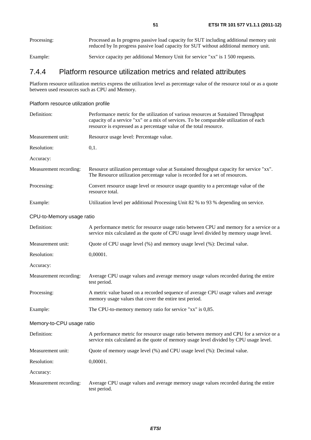| Processing: | Processed as In progress passive load capacity for SUT including additional memory unit |
|-------------|-----------------------------------------------------------------------------------------|
|             | reduced by In progress passive load capacity for SUT without additional memory unit.    |
|             |                                                                                         |

Example: Service capacity per additional Memory Unit for service "xx" is 1 500 requests.

# 7.4.4 Platform resource utilization metrics and related attributes

Platform resource utilization metrics express the utilization level as percentage value of the resource total or as a quote between used resources such as CPU and Memory.

### Platform resource utilization profile

| Definition:               | Performance metric for the utilization of various resources at Sustained Throughput<br>capacity of a service "xx" or a mix of services. To be comparable utilization of each<br>resource is expressed as a percentage value of the total resource. |
|---------------------------|----------------------------------------------------------------------------------------------------------------------------------------------------------------------------------------------------------------------------------------------------|
| Measurement unit:         | Resource usage level: Percentage value.                                                                                                                                                                                                            |
| Resolution:               | 0,1.                                                                                                                                                                                                                                               |
| Accuracy:                 |                                                                                                                                                                                                                                                    |
| Measurement recording:    | Resource utilization percentage value at Sustained throughput capacity for service "xx".<br>The Resource utilization percentage value is recorded for a set of resources.                                                                          |
| Processing:               | Convert resource usage level or resource usage quantity to a percentage value of the<br>resource total.                                                                                                                                            |
| Example:                  | Utilization level per additional Processing Unit 82 % to 93 % depending on service.                                                                                                                                                                |
| CPU-to-Memory usage ratio |                                                                                                                                                                                                                                                    |
| Definition:               | A performance metric for resource usage ratio between CPU and memory for a service or a<br>service mix calculated as the quote of CPU usage level divided by memory usage level.                                                                   |
| Measurement unit:         | Quote of CPU usage level (%) and memory usage level (%): Decimal value.                                                                                                                                                                            |
| Resolution:               | 0,00001.                                                                                                                                                                                                                                           |
| Accuracy:                 |                                                                                                                                                                                                                                                    |
| Measurement recording:    | Average CPU usage values and average memory usage values recorded during the entire<br>test period.                                                                                                                                                |
| Processing:               | A metric value based on a recorded sequence of average CPU usage values and average<br>memory usage values that cover the entire test period.                                                                                                      |
| Example:                  | The CPU-to-memory memory ratio for service "xx" is 0,85.                                                                                                                                                                                           |
| Memory-to-CPU usage ratio |                                                                                                                                                                                                                                                    |
| Definition:               | A performance metric for resource usage ratio between memory and CPU for a service or a<br>service mix calculated as the quote of memory usage level divided by CPU usage level.                                                                   |
| Measurement unit:         | Quote of memory usage level (%) and CPU usage level (%): Decimal value.                                                                                                                                                                            |
| Resolution:               | 0,00001.                                                                                                                                                                                                                                           |
| Accuracy:                 |                                                                                                                                                                                                                                                    |
| Measurement recording:    | Average CPU usage values and average memory usage values recorded during the entire<br>test period.                                                                                                                                                |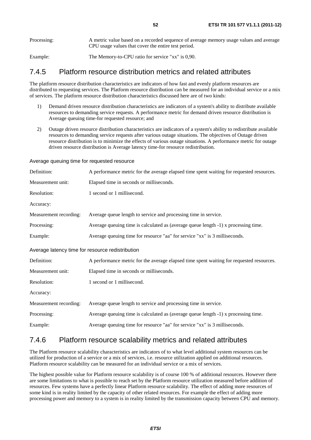## 7.4.5 Platform resource distribution metrics and related attributes

The platform resource distribution characteristics are indicators of how fast and evenly platform resources are distributed to requesting services. The Platform resource distribution can be measured for an individual service or a mix of services. The platform resource distribution characteristics discussed here are of two kinds:

- 1) Demand driven resource distribution characteristics are indicators of a system's ability to distribute available resources to demanding service requests. A performance metric for demand driven resource distribution is Average queuing time-for requested resource; and
- 2) Outage driven resource distribution characteristics are indicators of a system's ability to redistribute available resources to demanding service requests after various outage situations. The objectives of Outage driven resource distribution is to minimize the effects of various outage situations. A performance metric for outage driven resource distribution is Average latency time-for resource redistribution.

Average queuing time for requested resource

| Definition:                                      | A performance metric for the average elapsed time spent waiting for requested resources. |
|--------------------------------------------------|------------------------------------------------------------------------------------------|
| Measurement unit:                                | Elapsed time in seconds or milliseconds.                                                 |
| Resolution:                                      | 1 second or 1 millisecond.                                                               |
| Accuracy:                                        |                                                                                          |
| Measurement recording:                           | Average queue length to service and processing time in service.                          |
| Processing:                                      | Average queuing time is calculated as (average queue length -1) x processing time.       |
| Example:                                         | Average queuing time for resource "aa" for service "xx" is 3 milliseconds.               |
| Average latency time for resource redistribution |                                                                                          |
| Definition:                                      | A performance metric for the average elapsed time spent waiting for requested resources. |
| Measurement unit:                                | Elapsed time in seconds or milliseconds.                                                 |
| Resolution:                                      | 1 second or 1 millisecond.                                                               |
| Accuracy:                                        |                                                                                          |
| Measurement recording:                           | Average queue length to service and processing time in service.                          |
| Processing:                                      | Average queuing time is calculated as (average queue length -1) x processing time.       |
| Example:                                         | Average queuing time for resource "aa" for service "xx" is 3 milliseconds.               |

## 7.4.6 Platform resource scalability metrics and related attributes

The Platform resource scalability characteristics are indicators of to what level additional system resources can be utilized for production of a service or a mix of services, i.e. resource utilization applied on additional resources. Platform resource scalability can be measured for an individual service or a mix of services.

The highest possible value for Platform resource scalability is of course 100 % of additional resources. However there are some limitations to what is possible to reach set by the Platform resource utilization measured before addition of resources. Few systems have a perfectly linear Platform resource scalability. The effect of adding more resources of some kind is in reality limited by the capacity of other related resources. For example the effect of adding more processing power and memory to a system is in reality limited by the transmission capacity between CPU and memory.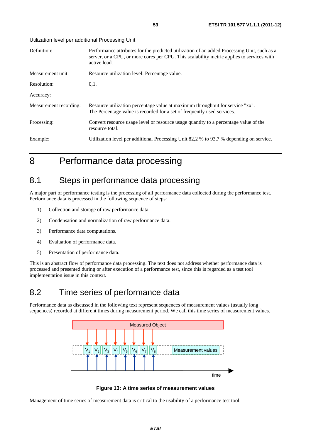Utilization level per additional Processing Unit

| Definition:            | Performance attributes for the predicted utilization of an added Processing Unit, such as a<br>server, or a CPU, or more cores per CPU. This scalability metric applies to services with<br>active load. |
|------------------------|----------------------------------------------------------------------------------------------------------------------------------------------------------------------------------------------------------|
| Measurement unit:      | Resource utilization level: Percentage value.                                                                                                                                                            |
| Resolution:            | 0,1.                                                                                                                                                                                                     |
| Accuracy:              |                                                                                                                                                                                                          |
| Measurement recording: | Resource utilization percentage value at maximum throughput for service "xx".<br>The Percentage value is recorded for a set of frequently used services.                                                 |
| Processing:            | Convert resource usage level or resource usage quantity to a percentage value of the<br>resource total.                                                                                                  |
| Example:               | Utilization level per additional Processing Unit 82,2 % to 93,7 % depending on service.                                                                                                                  |

# 8 Performance data processing

# 8.1 Steps in performance data processing

A major part of performance testing is the processing of all performance data collected during the performance test. Performance data is processed in the following sequence of steps:

- 1) Collection and storage of raw performance data.
- 2) Condensation and normalization of raw performance data.
- 3) Performance data computations.
- 4) Evaluation of performance data.
- 5) Presentation of performance data.

This is an abstract flow of performance data processing. The text does not address whether performance data is processed and presented during or after execution of a performance test, since this is regarded as a test tool implementation issue in this context.

# 8.2 Time series of performance data

Performance data as discussed in the following text represent sequences of measurement values (usually long sequences) recorded at different times during measurement period. We call this time series of measurement values.



**Figure 13: A time series of measurement values** 

Management of time series of measurement data is critical to the usability of a performance test tool.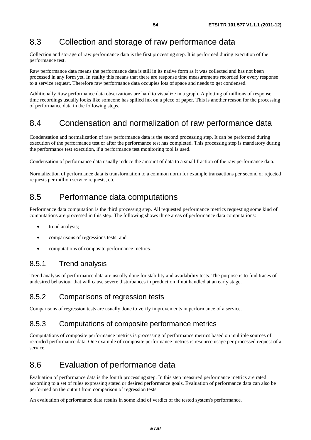# 8.3 Collection and storage of raw performance data

Collection and storage of raw performance data is the first processing step. It is performed during execution of the performance test.

Raw performance data means the performance data is still in its native form as it was collected and has not been processed in any form yet. In reality this means that there are response time measurements recorded for every response to a service request. Therefore raw performance data occupies lots of space and needs to get condensed.

Additionally Raw performance data observations are hard to visualize in a graph. A plotting of millions of response time recordings usually looks like someone has spilled ink on a piece of paper. This is another reason for the processing of performance data in the following steps.

# 8.4 Condensation and normalization of raw performance data

Condensation and normalization of raw performance data is the second processing step. It can be performed during execution of the performance test or after the performance test has completed. This processing step is mandatory during the performance test execution, if a performance test monitoring tool is used.

Condensation of performance data usually reduce the amount of data to a small fraction of the raw performance data.

Normalization of performance data is transformation to a common norm for example transactions per second or rejected requests per million service requests, etc.

# 8.5 Performance data computations

Performance data computation is the third processing step. All requested performance metrics requesting some kind of computations are processed in this step. The following shows three areas of performance data computations:

- trend analysis;
- comparisons of regressions tests; and
- computations of composite performance metrics.

## 8.5.1 Trend analysis

Trend analysis of performance data are usually done for stability and availability tests. The purpose is to find traces of undesired behaviour that will cause severe disturbances in production if not handled at an early stage.

## 8.5.2 Comparisons of regression tests

Comparisons of regression tests are usually done to verify improvements in performance of a service.

## 8.5.3 Computations of composite performance metrics

Computations of composite performance metrics is processing of performance metrics based on multiple sources of recorded performance data. One example of composite performance metrics is resource usage per processed request of a service.

# 8.6 Evaluation of performance data

Evaluation of performance data is the fourth processing step. In this step measured performance metrics are rated according to a set of rules expressing stated or desired performance goals. Evaluation of performance data can also be performed on the output from comparison of regression tests.

An evaluation of performance data results in some kind of verdict of the tested system's performance.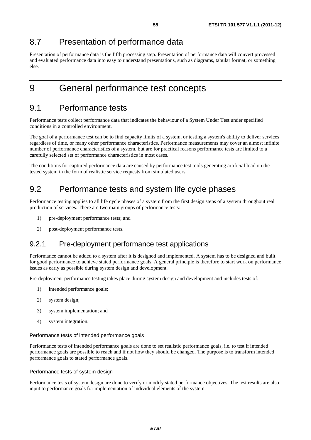# 8.7 Presentation of performance data

Presentation of performance data is the fifth processing step. Presentation of performance data will convert processed and evaluated performance data into easy to understand presentations, such as diagrams, tabular format, or something else.

9 General performance test concepts

# 9.1 Performance tests

Performance tests collect performance data that indicates the behaviour of a System Under Test under specified conditions in a controlled environment.

The goal of a performance test can be to find capacity limits of a system, or testing a system's ability to deliver services regardless of time, or many other performance characteristics. Performance measurements may cover an almost infinite number of performance characteristics of a system, but are for practical reasons performance tests are limited to a carefully selected set of performance characteristics in most cases.

The conditions for captured performance data are caused by performance test tools generating artificial load on the tested system in the form of realistic service requests from simulated users.

# 9.2 Performance tests and system life cycle phases

Performance testing applies to all life cycle phases of a system from the first design steps of a system throughout real production of services. There are two main groups of performance tests:

- 1) pre-deployment performance tests; and
- 2) post-deployment performance tests.

## 9.2.1 Pre-deployment performance test applications

Performance cannot be added to a system after it is designed and implemented. A system has to be designed and built for good performance to achieve stated performance goals. A general principle is therefore to start work on performance issues as early as possible during system design and development.

Pre-deployment performance testing takes place during system design and development and includes tests of:

- 1) intended performance goals;
- 2) system design;
- 3) system implementation; and
- 4) system integration.

### Performance tests of intended performance goals

Performance tests of intended performance goals are done to set realistic performance goals, i.e. to test if intended performance goals are possible to reach and if not how they should be changed. The purpose is to transform intended performance goals to stated performance goals.

### Performance tests of system design

Performance tests of system design are done to verify or modify stated performance objectives. The test results are also input to performance goals for implementation of individual elements of the system.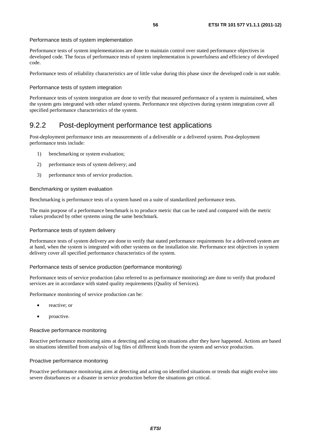### Performance tests of system implementation

Performance tests of system implementations are done to maintain control over stated performance objectives in developed code. The focus of performance tests of system implementation is powerfulness and efficiency of developed code.

Performance tests of reliability characteristics are of little value during this phase since the developed code is not stable.

### Performance tests of system integration

Performance tests of system integration are done to verify that measured performance of a system is maintained, when the system gets integrated with other related systems. Performance test objectives during system integration cover all specified performance characteristics of the system.

## 9.2.2 Post-deployment performance test applications

Post-deployment performance tests are measurements of a deliverable or a delivered system. Post-deployment performance tests include:

- 1) benchmarking or system evaluation;
- 2) performance tests of system delivery; and
- 3) performance tests of service production.

#### Benchmarking or system evaluation

Benchmarking is performance tests of a system based on a suite of standardized performance tests.

The main purpose of a performance benchmark is to produce metric that can be rated and compared with the metric values produced by other systems using the same benchmark.

#### Performance tests of system delivery

Performance tests of system delivery are done to verify that stated performance requirements for a delivered system are at hand, when the system is integrated with other systems on the installation site. Performance test objectives in system delivery cover all specified performance characteristics of the system.

#### Performance tests of service production (performance monitoring)

Performance tests of service production (also referred to as performance monitoring) are done to verify that produced services are in accordance with stated quality requirements (Quality of Services).

Performance monitoring of service production can be:

- reactive; or
- proactive.

#### Reactive performance monitoring

Reactive performance monitoring aims at detecting and acting on situations after they have happened. Actions are based on situations identified from analysis of log files of different kinds from the system and service production.

#### Proactive performance monitoring

Proactive performance monitoring aims at detecting and acting on identified situations or trends that might evolve into severe disturbances or a disaster in service production before the situations get critical.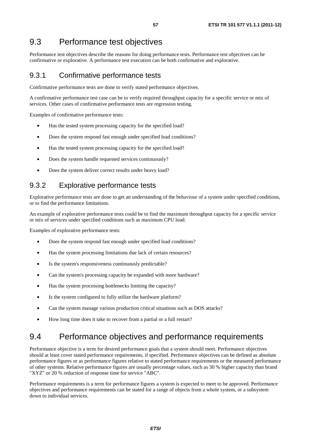# 9.3 Performance test objectives

Performance test objectives describe the reasons for doing performance tests. Performance test objectives can be confirmative or explorative. A performance test execution can be both confirmative and explorative.

## 9.3.1 Confirmative performance tests

Confirmative performance tests are done to verify stated performance objectives.

A confirmative performance test case can be to verify required throughput capacity for a specific service or mix of services. Other cases of confirmative performance tests are regression testing.

Examples of confirmative performance tests:

- Has the tested system processing capacity for the specified load?
- Does the system respond fast enough under specified load conditions?
- Has the tested system processing capacity for the specified load?
- Does the system handle requested services continuously?
- Does the system deliver correct results under heavy load?

## 9.3.2 Explorative performance tests

Explorative performance tests are done to get an understanding of the behaviour of a system under specified conditions, or to find the performance limitations.

An example of explorative performance tests could be to find the maximum throughput capacity for a specific service or mix of services under specified conditions such as maximum CPU load.

Examples of explorative performance tests:

- Does the system respond fast enough under specified load conditions?
- Has the system processing limitations due lack of certain resources?
- Is the system's responsiveness continuously predictable?
- Can the system's processing capacity be expanded with more hardware?
- Has the system processing bottlenecks limiting the capacity?
- Is the system configured to fully utilize the hardware platform?
- Can the system manage various production critical situations such as DOS attacks?
- How long time does it take to recover from a partial or a full restart?

# 9.4 Performance objectives and performance requirements

Performance objective is a term for desired performance goals that a system should meet. Performance objectives should at least cover stated performance requirements, if specified. Performance objectives can be defined as absolute performance figures or as performance figures relative to stated performance requirements or the measured performance of other systems. Relative performance figures are usually percentage values, such as 30 % higher capacity than brand "XYZ" or 20 % reduction of response time for service "ABC".

Performance requirements is a term for performance figures a system is expected to meet to be approved. Performance objectives and performance requirements can be stated for a range of objects from a whole system, or a subsystem down to individual services.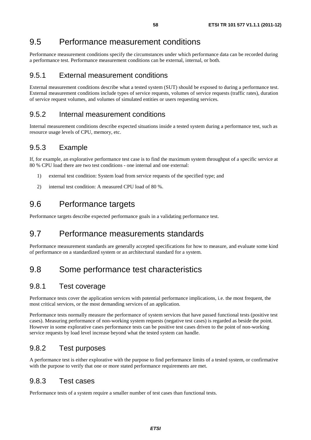# 9.5 Performance measurement conditions

Performance measurement conditions specify the circumstances under which performance data can be recorded during a performance test. Performance measurement conditions can be external, internal, or both.

## 9.5.1 External measurement conditions

External measurement conditions describe what a tested system (SUT) should be exposed to during a performance test. External measurement conditions include types of service requests, volumes of service requests (traffic rates), duration of service request volumes, and volumes of simulated entities or users requesting services.

## 9.5.2 Internal measurement conditions

Internal measurement conditions describe expected situations inside a tested system during a performance test, such as resource usage levels of CPU, memory, etc.

## 9.5.3 Example

If, for example, an explorative performance test case is to find the maximum system throughput of a specific service at 80 % CPU load there are two test conditions - one internal and one external:

- 1) external test condition: System load from service requests of the specified type; and
- 2) internal test condition: A measured CPU load of 80 %.

# 9.6 Performance targets

Performance targets describe expected performance goals in a validating performance test.

# 9.7 Performance measurements standards

Performance measurement standards are generally accepted specifications for how to measure, and evaluate some kind of performance on a standardized system or an architectural standard for a system.

# 9.8 Some performance test characteristics

## 9.8.1 Test coverage

Performance tests cover the application services with potential performance implications, i.e. the most frequent, the most critical services, or the most demanding services of an application.

Performance tests normally measure the performance of system services that have passed functional tests (positive test cases). Measuring performance of non-working system requests (negative test cases) is regarded as beside the point. However in some explorative cases performance tests can be positive test cases driven to the point of non-working service requests by load level increase beyond what the tested system can handle.

## 9.8.2 Test purposes

A performance test is either explorative with the purpose to find performance limits of a tested system, or confirmative with the purpose to verify that one or more stated performance requirements are met.

## 9.8.3 Test cases

Performance tests of a system require a smaller number of test cases than functional tests.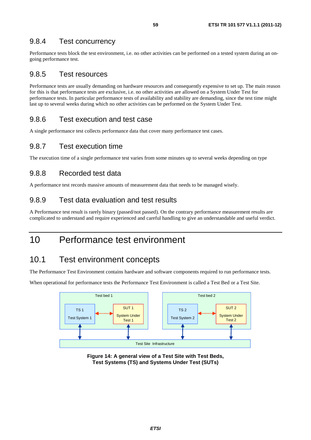## 9.8.4 Test concurrency

Performance tests block the test environment, i.e. no other activities can be performed on a tested system during an ongoing performance test.

### 9.8.5 Test resources

Performance tests are usually demanding on hardware resources and consequently expensive to set up. The main reason for this is that performance tests are exclusive, i.e. no other activities are allowed on a System Under Test for performance tests. In particular performance tests of availability and stability are demanding, since the test time might last up to several weeks during which no other activities can be performed on the System Under Test.

### 9.8.6 Test execution and test case

A single performance test collects performance data that cover many performance test cases.

### 9.8.7 Test execution time

The execution time of a single performance test varies from some minutes up to several weeks depending on type

### 9.8.8 Recorded test data

A performance test records massive amounts of measurement data that needs to be managed wisely.

### 9.8.9 Test data evaluation and test results

A Performance test result is rarely binary (passed/not passed). On the contrary performance measurement results are complicated to understand and require experienced and careful handling to give an understandable and useful verdict.

# 10 Performance test environment

## 10.1 Test environment concepts

The Performance Test Environment contains hardware and software components required to run performance tests.

When operational for performance tests the Performance Test Environment is called a Test Bed or a Test Site.



**Figure 14: A general view of a Test Site with Test Beds, Test Systems (TS) and Systems Under Test (SUTs)**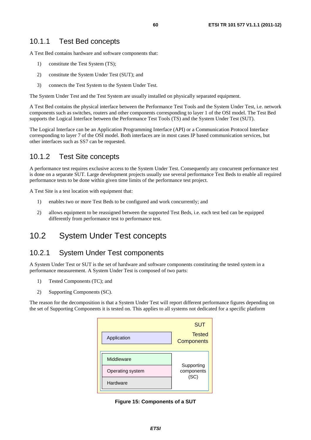## 10.1.1 Test Bed concepts

A Test Bed contains hardware and software components that:

- 1) constitute the Test System (TS);
- 2) constitute the System Under Test (SUT); and
- 3) connects the Test System to the System Under Test.

The System Under Test and the Test System are usually installed on physically separated equipment.

A Test Bed contains the physical interface between the Performance Test Tools and the System Under Test, i.e. network components such as switches, routers and other components corresponding to layer 1 of the OSI model. The Test Bed supports the Logical Interface between the Performance Test Tools (TS) and the System Under Test (SUT).

The Logical Interface can be an Application Programming Interface (API) or a Communication Protocol Interface corresponding to layer 7 of the OSI model. Both interfaces are in most cases IP based communication services, but other interfaces such as SS7 can be requested.

## 10.1.2 Test Site concepts

A performance test requires exclusive access to the System Under Test. Consequently any concurrent performance test is done on a separate SUT. Large development projects usually use several performance Test Beds to enable all required performance tests to be done within given time limits of the performance test project.

A Test Site is a test location with equipment that:

- 1) enables two or more Test Beds to be configured and work concurrently; and
- 2) allows equipment to be reassigned between the supported Test Beds, i.e. each test bed can be equipped differently from performance test to performance test.

# 10.2 System Under Test concepts

## 10.2.1 System Under Test components

A System Under Test or SUT is the set of hardware and software components constituting the tested system in a performance measurement. A System Under Test is composed of two parts:

- 1) Tested Components (TC); and
- 2) Supporting Components (SC).

The reason for the decomposition is that a System Under Test will report different performance figures depending on the set of Supporting Components it is tested on. This applies to all systems not dedicated for a specific platform

|                                                   | <b>SUT</b>                       |
|---------------------------------------------------|----------------------------------|
| <b>Tested</b><br>Application<br><b>Components</b> |                                  |
| Middleware                                        |                                  |
| Operating system                                  | Supporting<br>components<br>(SC) |
| Hardware                                          |                                  |

**Figure 15: Components of a SUT**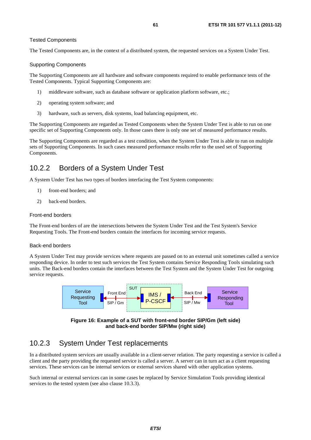### Tested Components

The Tested Components are, in the context of a distributed system, the requested services on a System Under Test.

### Supporting Components

The Supporting Components are all hardware and software components required to enable performance tests of the Tested Components. Typical Supporting Components are:

- 1) middleware software, such as database software or application platform software, etc.;
- 2) operating system software; and
- 3) hardware, such as servers, disk systems, load balancing equipment, etc.

The Supporting Components are regarded as Tested Components when the System Under Test is able to run on one specific set of Supporting Components only. In those cases there is only one set of measured performance results.

The Supporting Components are regarded as a test condition, when the System Under Test is able to run on multiple sets of Supporting Components. In such cases measured performance results refer to the used set of Supporting Components.

# 10.2.2 Borders of a System Under Test

A System Under Test has two types of borders interfacing the Test System components:

- 1) front-end borders; and
- 2) back-end borders.

### Front-end borders

The Front-end borders of are the intersections between the System Under Test and the Test System's Service Requesting Tools. The Front-end borders contain the interfaces for incoming service requests.

### Back-end borders

A System Under Test may provide services where requests are passed on to an external unit sometimes called a service responding device. In order to test such services the Test System contains Service Responding Tools simulating such units. The Back-end borders contain the interfaces between the Test System and the System Under Test for outgoing service requests.





# 10.2.3 System Under Test replacements

In a distributed system services are usually available in a client-server relation. The party requesting a service is called a client and the party providing the requested service is called a server. A server can in turn act as a client requesting services. These services can be internal services or external services shared with other application systems.

Such internal or external services can in some cases be replaced by Service Simulation Tools providing identical services to the tested system (see also clause 10.3.3).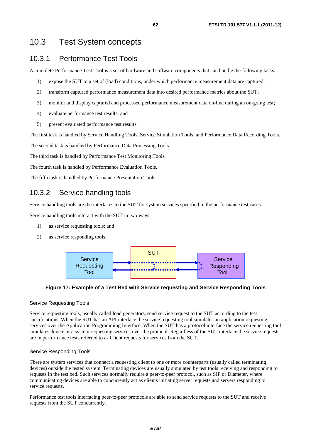# 10.3 Test System concepts

## 10.3.1 Performance Test Tools

A complete Performance Test Tool is a set of hardware and software components that can handle the following tasks:

- 1) expose the SUT to a set of (load) conditions, under which performance measurement data are captured;
- 2) transform captured performance measurement data into desired performance metrics about the SUT;
- 3) monitor and display captured and processed performance measurement data on-line during an on-going test;
- 4) evaluate performance test results; and
- 5) present evaluated performance test results.

The first task is handled by Service Handling Tools, Service Simulation Tools, and Performance Data Recording Tools.

The second task is handled by Performance Data Processing Tools.

The third task is handled by Performance Test Monitoring Tools.

The fourth task is handled by Performance Evaluation Tools.

The fifth task is handled by Performance Presentation Tools.

## 10.3.2 Service handling tools

Service handling tools are the interfaces to the SUT for system services specified in the performance test cases.

Service handling tools interact with the SUT in two ways:

- 1) as service requesting tools; and
- 2) as service responding tools.



**Figure 17: Example of a Test Bed with Service requesting and Service Responding Tools** 

### Service Requesting Tools

Service requesting tools, usually called load generators, send service request to the SUT according to the test specifications. When the SUT has an API interface the service requesting tool simulates an application requesting services over the Application Programming Interface. When the SUT has a protocol interface the service requesting tool simulates device or a system requesting services over the protocol. Regardless of the SUT interface the service requests are in performance tests referred to as Client requests for services from the SUT.

### Service Responding Tools

There are system services that connect a requesting client to one or more counterparts (usually called terminating devices) outside the tested system. Terminating devices are usually simulated by test tools receiving and responding to requests in the test bed. Such services normally require a peer-to-peer protocol, such as SIP or Diameter, where communicating devices are able to concurrently act as clients initiating server requests and servers responding to service requests.

Performance test tools interfacing peer-to-peer protocols are able to send service requests to the SUT and receive requests from the SUT concurrently.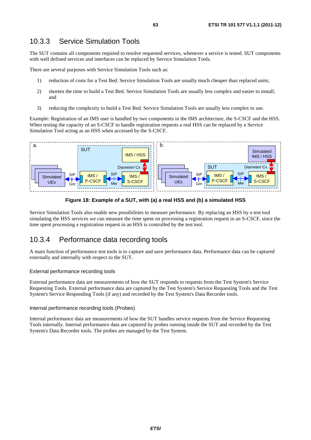## 10.3.3 Service Simulation Tools

The SUT contains all components required to resolve requested services, whenever a service is tested. SUT components with well defined services and interfaces can be replaced by Service Simulation Tools.

There are several purposes with Service Simulation Tools such as:

- 1) reduction of costs for a Test Bed. Service Simulation Tools are usually much cheaper than replaced units;
- 2) shorten the time to build a Test Bed. Service Simulation Tools are usually less complex and easier to install; and
- 3) reducing the complexity to build a Test Bed. Service Simulation Tools are usually less complex to use.

Example: Registration of an IMS user is handled by two components in the IMS architecture, the S-CSCF and the HSS. When testing the capacity of an S-CSCF to handle registration requests a real HSS can be replaced by a Service Simulation Tool acting as an HSS when accessed by the S-CSCF.



**Figure 18: Example of a SUT, with (a) a real HSS and (b) a simulated HSS** 

Service Simulation Tools also enable new possibilities to measure performance. By replacing an HSS by a test tool simulating the HSS services we can measure the time spent on processing a registration request in an S-CSCF, since the time spent processing a registration request in an HSS is controlled by the test tool.

## 10.3.4 Performance data recording tools

A main function of performance test tools is to capture and save performance data. Performance data can be captured externally and internally with respect to the SUT.

### External performance recording tools

External performance data are measurements of how the SUT responds to requests from the Test System's Service Requesting Tools. External performance data are captured by the Test System's Service Requesting Tools and the Test System's Service Responding Tools (if any) and recorded by the Test System's Data Recorder tools.

### Internal performance recording tools (Probes)

Internal performance data are measurements of how the SUT handles service requests from the Service Requesting Tools internally. Internal performance data are captured by probes running inside the SUT and recorded by the Test System's Data Recorder tools. The probes are managed by the Test System.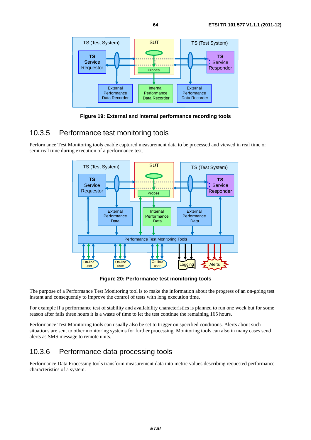

**Figure 19: External and internal performance recording tools** 

## 10.3.5 Performance test monitoring tools

Performance Test Monitoring tools enable captured measurement data to be processed and viewed in real time or semi-real time during execution of a performance test.



**Figure 20: Performance test monitoring tools** 

The purpose of a Performance Test Monitoring tool is to make the information about the progress of an on-going test instant and consequently to improve the control of tests with long execution time.

For example if a performance test of stability and availability characteristics is planned to run one week but for some reason after fails three hours it is a waste of time to let the test continue the remaining 165 hours.

Performance Test Monitoring tools can usually also be set to trigger on specified conditions. Alerts about such situations are sent to other monitoring systems for further processing. Monitoring tools can also in many cases send alerts as SMS message to remote units.

# 10.3.6 Performance data processing tools

Performance Data Processing tools transform measurement data into metric values describing requested performance characteristics of a system.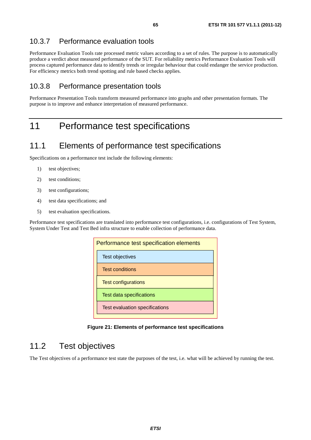## 10.3.7 Performance evaluation tools

Performance Evaluation Tools rate processed metric values according to a set of rules. The purpose is to automatically produce a verdict about measured performance of the SUT. For reliability metrics Performance Evaluation Tools will process captured performance data to identify trends or irregular behaviour that could endanger the service production. For efficiency metrics both trend spotting and rule based checks applies.

## 10.3.8 Performance presentation tools

Performance Presentation Tools transform measured performance into graphs and other presentation formats. The purpose is to improve and enhance interpretation of measured performance.

# 11 Performance test specifications

# 11.1 Elements of performance test specifications

Specifications on a performance test include the following elements:

- 1) test objectives;
- 2) test conditions;
- 3) test configurations;
- 4) test data specifications; and
- 5) test evaluation specifications.

Performance test specifications are translated into performance test configurations, i.e. configurations of Test System, System Under Test and Test Bed infra structure to enable collection of performance data.

| Performance test specification elements |  |
|-----------------------------------------|--|
| Test objectives                         |  |
| <b>Test conditions</b>                  |  |
| <b>Test configurations</b>              |  |
| Test data specifications                |  |
| Test evaluation specifications          |  |

**Figure 21: Elements of performance test specifications** 

# 11.2 Test objectives

The Test objectives of a performance test state the purposes of the test, i.e. what will be achieved by running the test.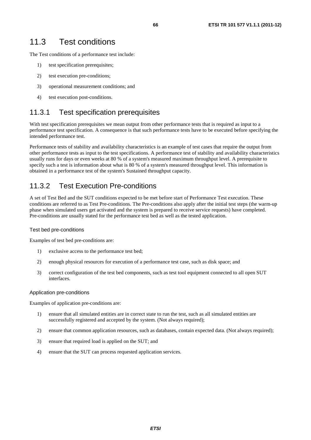The Test conditions of a performance test include:

- 1) test specification prerequisites;
- 2) test execution pre-conditions;
- 3) operational measurement conditions; and
- 4) test execution post-conditions.

## 11.3.1 Test specification prerequisites

With test specification prerequisites we mean output from other performance tests that is required as input to a performance test specification. A consequence is that such performance tests have to be executed before specifying the intended performance test.

Performance tests of stability and availability characteristics is an example of test cases that require the output from other performance tests as input to the test specifications. A performance test of stability and availability characteristics usually runs for days or even weeks at 80 % of a system's measured maximum throughput level. A prerequisite to specify such a test is information about what is 80 % of a system's measured throughput level. This information is obtained in a performance test of the system's Sustained throughput capacity.

## 11.3.2 Test Execution Pre-conditions

A set of Test Bed and the SUT conditions expected to be met before start of Performance Test execution. These conditions are referred to as Test Pre-conditions. The Pre-conditions also apply after the initial test steps (the warm-up phase when simulated users get activated and the system is prepared to receive service requests) have completed. Pre-conditions are usually stated for the performance test bed as well as the tested application.

### Test bed pre-conditions

Examples of test bed pre-conditions are:

- 1) exclusive access to the performance test bed;
- 2) enough physical resources for execution of a performance test case, such as disk space; and
- 3) correct configuration of the test bed components, such as test tool equipment connected to all open SUT interfaces.

### Application pre-conditions

Examples of application pre-conditions are:

- 1) ensure that all simulated entities are in correct state to run the test, such as all simulated entities are successfully registered and accepted by the system. (Not always required);
- 2) ensure that common application resources, such as databases, contain expected data. (Not always required);
- 3) ensure that required load is applied on the SUT; and
- 4) ensure that the SUT can process requested application services.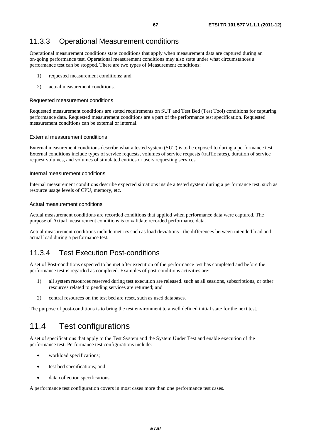# 11.3.3 Operational Measurement conditions

Operational measurement conditions state conditions that apply when measurement data are captured during an on-going performance test. Operational measurement conditions may also state under what circumstances a performance test can be stopped. There are two types of Measurement conditions:

- 1) requested measurement conditions; and
- 2) actual measurement conditions.

### Requested measurement conditions

Requested measurement conditions are stated requirements on SUT and Test Bed (Test Tool) conditions for capturing performance data. Requested measurement conditions are a part of the performance test specification. Requested measurement conditions can be external or internal.

### External measurement conditions

External measurement conditions describe what a tested system (SUT) is to be exposed to during a performance test. External conditions include types of service requests, volumes of service requests (traffic rates), duration of service request volumes, and volumes of simulated entities or users requesting services.

### Internal measurement conditions

Internal measurement conditions describe expected situations inside a tested system during a performance test, such as resource usage levels of CPU, memory, etc.

### Actual measurement conditions

Actual measurement conditions are recorded conditions that applied when performance data were captured. The purpose of Actual measurement conditions is to validate recorded performance data.

Actual measurement conditions include metrics such as load deviations - the differences between intended load and actual load during a performance test.

# 11.3.4 Test Execution Post-conditions

A set of Post-conditions expected to be met after execution of the performance test has completed and before the performance test is regarded as completed. Examples of post-conditions activities are:

- 1) all system resources reserved during test execution are released. such as all sessions, subscriptions, or other resources related to pending services are returned; and
- 2) central resources on the test bed are reset, such as used databases.

The purpose of post-conditions is to bring the test environment to a well defined initial state for the next test.

# 11.4 Test configurations

A set of specifications that apply to the Test System and the System Under Test and enable execution of the performance test. Performance test configurations include:

- workload specifications;
- test bed specifications; and
- data collection specifications.

A performance test configuration covers in most cases more than one performance test cases.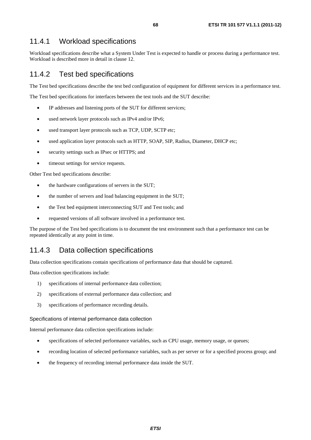## 11.4.1 Workload specifications

Workload specifications describe what a System Under Test is expected to handle or process during a performance test. Workload is described more in detail in clause 12.

## 11.4.2 Test bed specifications

The Test bed specifications describe the test bed configuration of equipment for different services in a performance test.

The Test bed specifications for interfaces between the test tools and the SUT describe:

- IP addresses and listening ports of the SUT for different services;
- used network layer protocols such as IPv4 and/or IPv6;
- used transport layer protocols such as TCP, UDP, SCTP etc;
- used application layer protocols such as HTTP, SOAP, SIP, Radius, Diameter, DHCP etc;
- security settings such as IPsec or HTTPS; and
- timeout settings for service requests.

Other Test bed specifications describe:

- the hardware configurations of servers in the SUT;
- the number of servers and load balancing equipment in the SUT;
- the Test bed equipment interconnecting SUT and Test tools; and
- requested versions of all software involved in a performance test.

The purpose of the Test bed specifications is to document the test environment such that a performance test can be repeated identically at any point in time.

## 11.4.3 Data collection specifications

Data collection specifications contain specifications of performance data that should be captured.

Data collection specifications include:

- 1) specifications of internal performance data collection;
- 2) specifications of external performance data collection; and
- 3) specifications of performance recording details.

Specifications of internal performance data collection

Internal performance data collection specifications include:

- specifications of selected performance variables, such as CPU usage, memory usage, or queues;
- recording location of selected performance variables, such as per server or for a specified process group; and
- the frequency of recording internal performance data inside the SUT.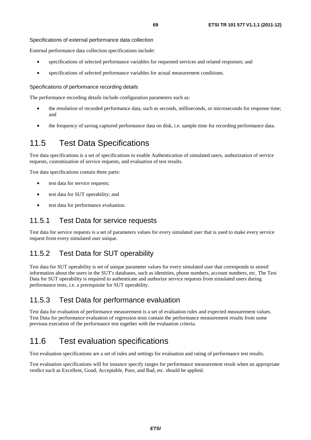Specifications of external performance data collection

External performance data collection specifications include:

- specifications of selected performance variables for requested services and related responses; and
- specifications of selected performance variables for actual measurement conditions.

Specifications of performance recording details

The performance recording details include configuration parameters such as:

- the resolution of recorded performance data, such as seconds, milliseconds, or microseconds for response time; and
- the frequency of saving captured performance data on disk, i.e. sample time for recording performance data.

# 11.5 Test Data Specifications

Test data specifications is a set of specifications to enable Authentication of simulated users, authorization of service requests, customization of service requests, and evaluation of test results.

Test data specifications contain three parts:

- test data for service requests;
- test data for SUT operability; and
- test data for performance evaluation.

### 11.5.1 Test Data for service requests

Test data for service requests is a set of parameters values for every simulated user that is used to make every service request from every simulated user unique.

## 11.5.2 Test Data for SUT operability

Test data for SUT operability is set of unique parameter values for every simulated user that corresponds to stored information about the users in the SUT's databases, such as identities, phone numbers, account numbers, etc. The Test Data for SUT operability is required to authenticate and authorize service requests from simulated users during performance tests, i.e. a prerequisite for SUT operability.

## 11.5.3 Test Data for performance evaluation

Test data for evaluation of performance measurement is a set of evaluation rules and expected measurement values. Test Data for performance evaluation of regression tests contain the performance measurement results from some previous execution of the performance test together with the evaluation criteria.

# 11.6 Test evaluation specifications

Test evaluation specifications are a set of rules and settings for evaluation and rating of performance test results.

Test evaluation specifications will for instance specify ranges for performance measurement result when an appropriate verdict such as Excellent, Good, Acceptable, Poor, and Bad, etc. should be applied.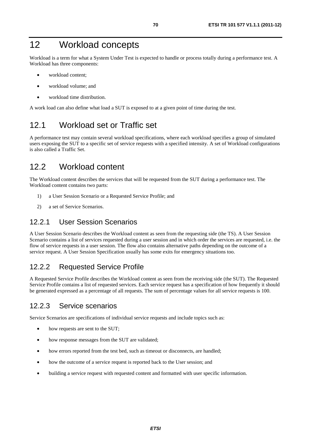# 12 Workload concepts

Workload is a term for what a System Under Test is expected to handle or process totally during a performance test. A Workload has three components:

- workload content:
- workload volume; and
- workload time distribution.

A work load can also define what load a SUT is exposed to at a given point of time during the test.

# 12.1 Workload set or Traffic set

A performance test may contain several workload specifications, where each workload specifies a group of simulated users exposing the SUT to a specific set of service requests with a specified intensity. A set of Workload configurations is also called a Traffic Set.

# 12.2 Workload content

The Workload content describes the services that will be requested from the SUT during a performance test. The Workload content contains two parts:

- 1) a User Session Scenario or a Requested Service Profile; and
- 2) a set of Service Scenarios.

### 12.2.1 User Session Scenarios

A User Session Scenario describes the Workload content as seen from the requesting side (the TS). A User Session Scenario contains a list of services requested during a user session and in which order the services are requested, i.e. the flow of service requests in a user session. The flow also contains alternative paths depending on the outcome of a service request. A User Session Specification usually has some exits for emergency situations too.

## 12.2.2 Requested Service Profile

A Requested Service Profile describes the Workload content as seen from the receiving side (the SUT). The Requested Service Profile contains a list of requested services. Each service request has a specification of how frequently it should be generated expressed as a percentage of all requests. The sum of percentage values for all service requests is 100.

## 12.2.3 Service scenarios

Service Scenarios are specifications of individual service requests and include topics such as:

- how requests are sent to the SUT;
- how response messages from the SUT are validated;
- how errors reported from the test bed, such as timeout or disconnects, are handled;
- how the outcome of a service request is reported back to the User session; and
- building a service request with requested content and formatted with user specific information.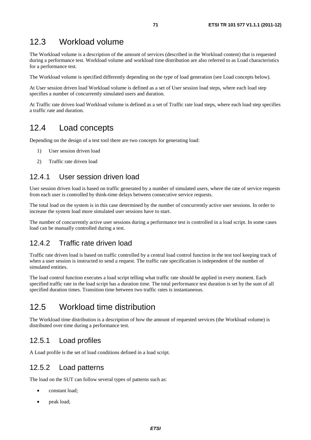# 12.3 Workload volume

The Workload volume is a description of the amount of services (described in the Workload content) that is requested during a performance test. Workload volume and workload time distribution are also referred to as Load characteristics for a performance test.

The Workload volume is specified differently depending on the type of load generation (see Load concepts below).

At User session driven load Workload volume is defined as a set of User session load steps, where each load step specifies a number of concurrently simulated users and duration.

At Traffic rate driven load Workload volume is defined as a set of Traffic rate load steps, where each load step specifies a traffic rate and duration.

# 12.4 Load concepts

Depending on the design of a test tool there are two concepts for generating load:

- 1) User session driven load
- 2) Traffic rate driven load

## 12.4.1 User session driven load

User session driven load is based on traffic generated by a number of simulated users, where the rate of service requests from each user is controlled by think-time delays between consecutive service requests.

The total load on the system is in this case determined by the number of concurrently active user sessions. In order to increase the system load more simulated user sessions have to start.

The number of concurrently active user sessions during a performance test is controlled in a load script. In some cases load can be manually controlled during a test.

## 12.4.2 Traffic rate driven load

Traffic rate driven load is based on traffic controlled by a central load control function in the test tool keeping track of when a user session is instructed to send a request. The traffic rate specification is independent of the number of simulated entities.

The load control function executes a load script telling what traffic rate should be applied in every moment. Each specified traffic rate in the load script has a duration time. The total performance test duration is set by the sum of all specified duration times. Transition time between two traffic rates is instantaneous.

# 12.5 Workload time distribution

The Workload time distribution is a description of how the amount of requested services (the Workload volume) is distributed over time during a performance test.

## 12.5.1 Load profiles

A Load profile is the set of load conditions defined in a load script.

## 12.5.2 Load patterns

The load on the SUT can follow several types of patterns such as:

- constant load;
- peak load;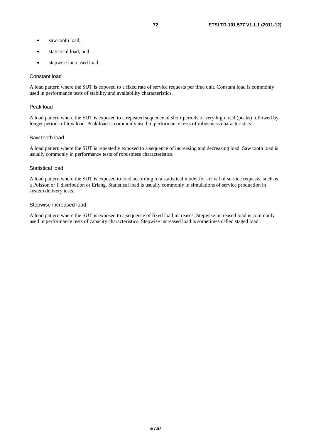- saw tooth load:
- statistical load; and
- stepwise increased load.

#### Constant load

A load pattern where the SUT is exposed to a fixed rate of service requests per time unit. Constant load is commonly used in performance tests of stability and availability characteristics.

#### Peak load

A load pattern where the SUT is exposed to a repeated sequence of short periods of very high load (peaks) followed by longer periods of low load. Peak load is commonly used in performance tests of robustness characteristics.

#### Saw tooth load

A load pattern where the SUT is repeatedly exposed to a sequence of increasing and decreasing load. Saw tooth load is usually commonly in performance tests of robustness characteristics.

### Statistical load

A load pattern where the SUT is exposed to load according to a statistical model for arrival of service requests, such as a Poisson or F distribution or Erlang. Statistical load is usually commonly in simulations of service production in system delivery tests.

#### Stepwise increased load

A load pattern where the SUT is exposed to a sequence of fixed load increases. Stepwise increased load is commonly used in performance tests of capacity characteristics. Stepwise increased load is sometimes called staged load.